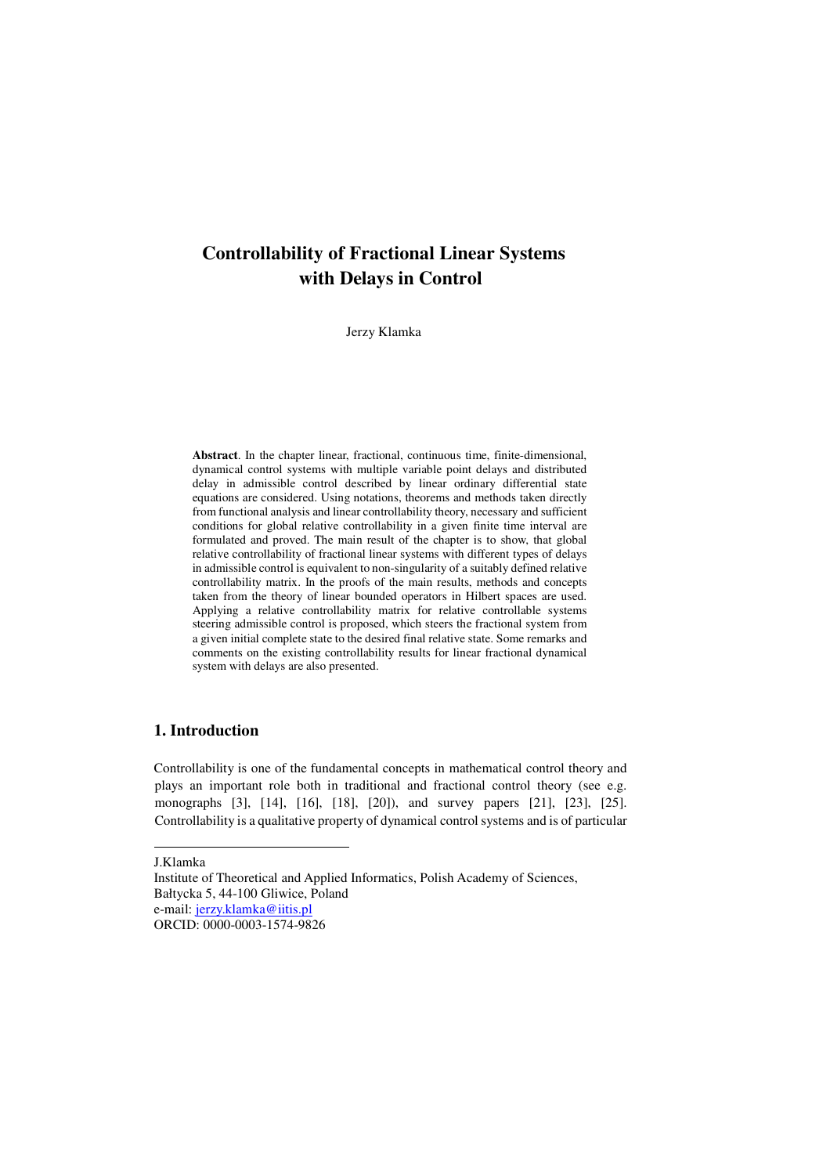# **Controllability of Fractional Linear Systems with Delays in Control**

Jerzy Klamka

**Abstract**. In the chapter linear, fractional, continuous time, finite-dimensional, dynamical control systems with multiple variable point delays and distributed delay in admissible control described by linear ordinary differential state equations are considered. Using notations, theorems and methods taken directly from functional analysis and linear controllability theory, necessary and sufficient conditions for global relative controllability in a given finite time interval are formulated and proved. The main result of the chapter is to show, that global relative controllability of fractional linear systems with different types of delays in admissible control is equivalent to non-singularity of a suitably defined relative controllability matrix. In the proofs of the main results, methods and concepts taken from the theory of linear bounded operators in Hilbert spaces are used. Applying a relative controllability matrix for relative controllable systems steering admissible control is proposed, which steers the fractional system from a given initial complete state to the desired final relative state. Some remarks and comments on the existing controllability results for linear fractional dynamical system with delays are also presented.

# **1. Introduction**

Controllability is one of the fundamental concepts in mathematical control theory and plays an important role both in traditional and fractional control theory (see e.g. monographs [3], [14], [16], [18], [20]), and survey papers [21], [23], [25]. Controllability is a qualitative property of dynamical control systems and is of particular

J.Klamka

 $\overline{a}$ 

Institute of Theoretical and Applied Informatics, Polish Academy of Sciences, Bałtycka 5, 44-100 Gliwice, Poland e-mail: jerzy.klamka@iitis.pl

ORCID: 0000-0003-1574-9826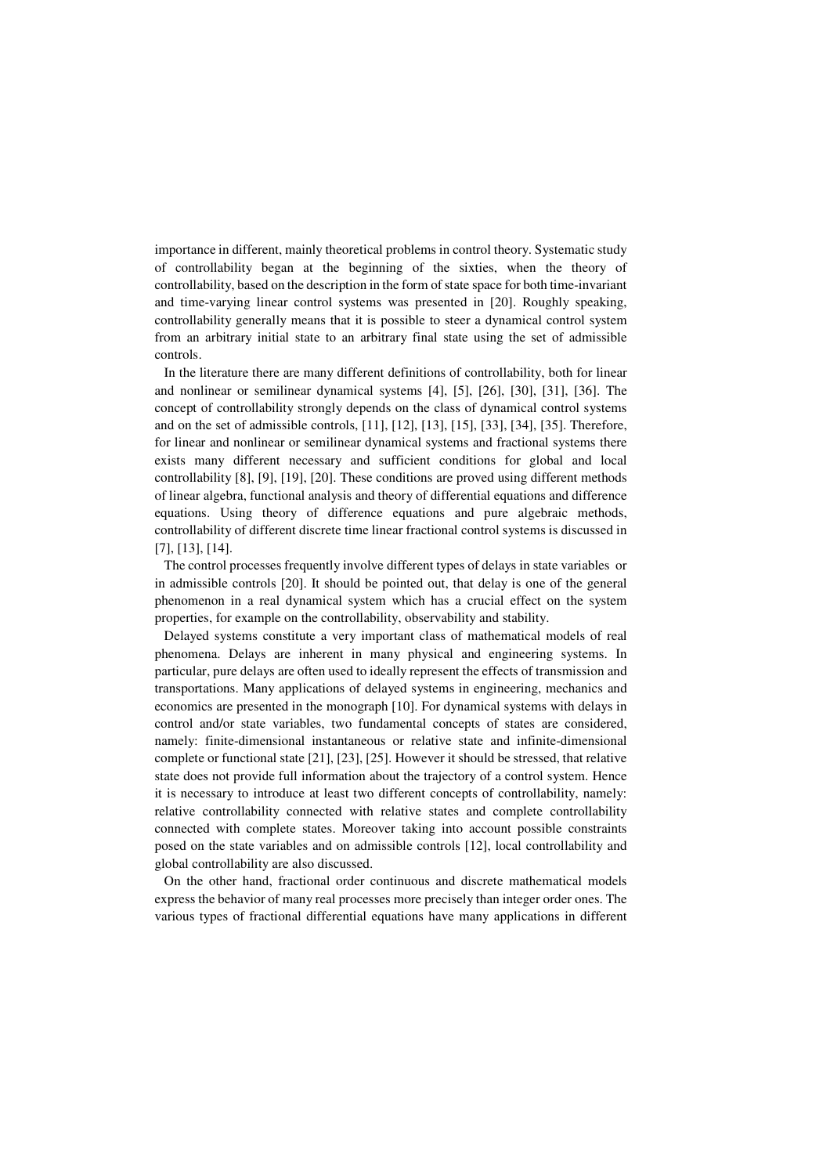importance in different, mainly theoretical problems in control theory. Systematic study of controllability began at the beginning of the sixties, when the theory of controllability, based on the description in the form of state space for both time-invariant and time-varying linear control systems was presented in [20]. Roughly speaking, controllability generally means that it is possible to steer a dynamical control system from an arbitrary initial state to an arbitrary final state using the set of admissible controls.

 In the literature there are many different definitions of controllability, both for linear and nonlinear or semilinear dynamical systems [4], [5], [26], [30], [31], [36]. The concept of controllability strongly depends on the class of dynamical control systems and on the set of admissible controls, [11], [12], [13], [15], [33], [34], [35]. Therefore, for linear and nonlinear or semilinear dynamical systems and fractional systems there exists many different necessary and sufficient conditions for global and local controllability [8], [9], [19], [20]. These conditions are proved using different methods of linear algebra, functional analysis and theory of differential equations and difference equations. Using theory of difference equations and pure algebraic methods, controllability of different discrete time linear fractional control systems is discussed in [7], [13], [14].

 The control processes frequently involve different types of delays in state variables or in admissible controls [20]. It should be pointed out, that delay is one of the general phenomenon in a real dynamical system which has a crucial effect on the system properties, for example on the controllability, observability and stability.

 Delayed systems constitute a very important class of mathematical models of real phenomena. Delays are inherent in many physical and engineering systems. In particular, pure delays are often used to ideally represent the effects of transmission and transportations. Many applications of delayed systems in engineering, mechanics and economics are presented in the monograph [10]. For dynamical systems with delays in control and/or state variables, two fundamental concepts of states are considered, namely: finite-dimensional instantaneous or relative state and infinite-dimensional complete or functional state [21], [23], [25]. However it should be stressed, that relative state does not provide full information about the trajectory of a control system. Hence it is necessary to introduce at least two different concepts of controllability, namely: relative controllability connected with relative states and complete controllability connected with complete states. Moreover taking into account possible constraints posed on the state variables and on admissible controls [12], local controllability and global controllability are also discussed.

 On the other hand, fractional order continuous and discrete mathematical models express the behavior of many real processes more precisely than integer order ones. The various types of fractional differential equations have many applications in different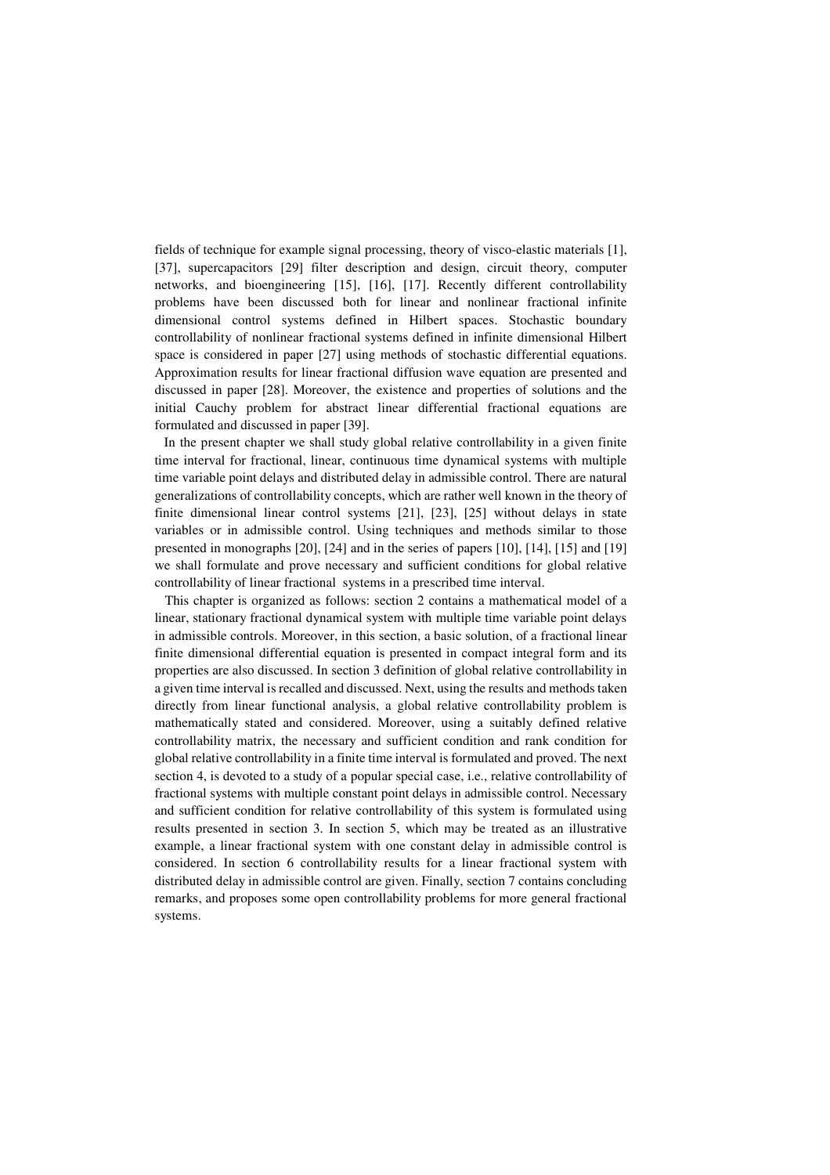fields of technique for example signal processing, theory of visco-elastic materials [1], [37], supercapacitors [29] filter description and design, circuit theory, computer networks, and bioengineering [15], [16], [17]. Recently different controllability problems have been discussed both for linear and nonlinear fractional infinite dimensional control systems defined in Hilbert spaces. Stochastic boundary controllability of nonlinear fractional systems defined in infinite dimensional Hilbert space is considered in paper [27] using methods of stochastic differential equations. Approximation results for linear fractional diffusion wave equation are presented and discussed in paper [28]. Moreover, the existence and properties of solutions and the initial Cauchy problem for abstract linear differential fractional equations are formulated and discussed in paper [39].

 In the present chapter we shall study global relative controllability in a given finite time interval for fractional, linear, continuous time dynamical systems with multiple time variable point delays and distributed delay in admissible control. There are natural generalizations of controllability concepts, which are rather well known in the theory of finite dimensional linear control systems [21], [23], [25] without delays in state variables or in admissible control. Using techniques and methods similar to those presented in monographs [20], [24] and in the series of papers [10], [14], [15] and [19] we shall formulate and prove necessary and sufficient conditions for global relative controllability of linear fractional systems in a prescribed time interval.

 This chapter is organized as follows: section 2 contains a mathematical model of a linear, stationary fractional dynamical system with multiple time variable point delays in admissible controls. Moreover, in this section, a basic solution, of a fractional linear finite dimensional differential equation is presented in compact integral form and its properties are also discussed. In section 3 definition of global relative controllability in a given time interval is recalled and discussed. Next, using the results and methods taken directly from linear functional analysis, a global relative controllability problem is mathematically stated and considered. Moreover, using a suitably defined relative controllability matrix, the necessary and sufficient condition and rank condition for global relative controllability in a finite time interval is formulated and proved. The next section 4, is devoted to a study of a popular special case, i.e., relative controllability of fractional systems with multiple constant point delays in admissible control. Necessary and sufficient condition for relative controllability of this system is formulated using results presented in section 3. In section 5, which may be treated as an illustrative example, a linear fractional system with one constant delay in admissible control is considered. In section 6 controllability results for a linear fractional system with distributed delay in admissible control are given. Finally, section 7 contains concluding remarks, and proposes some open controllability problems for more general fractional systems.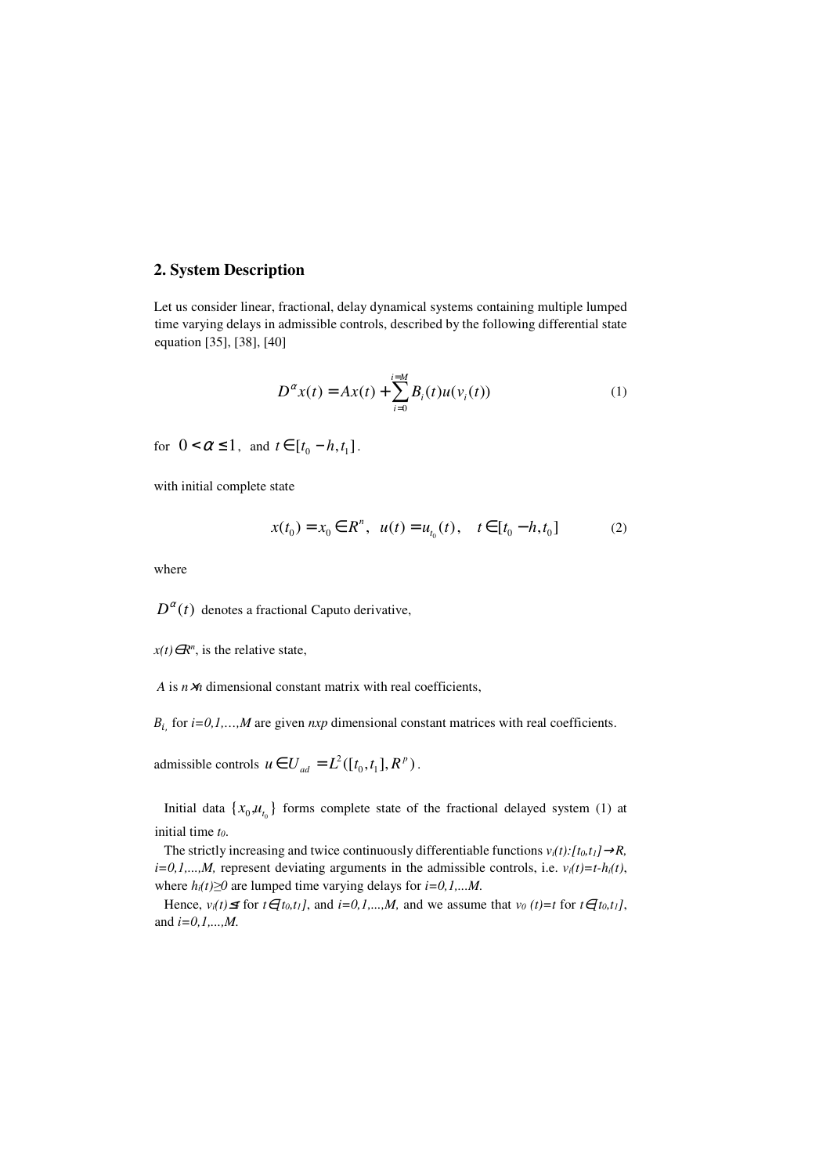### **2. System Description**

Let us consider linear, fractional, delay dynamical systems containing multiple lumped time varying delays in admissible controls, described by the following differential state equation [35], [38], [40]

$$
D^{\alpha}x(t) = Ax(t) + \sum_{i=0}^{i=M} B_i(t)u(v_i(t))
$$
\n(1)

for  $0 < \alpha \leq 1$ , and  $t \in [t_0 - h, t_1]$ .

with initial complete state

$$
x(t_0) = x_0 \in R^n, \ \ u(t) = u_{t_0}(t), \quad t \in [t_0 - h, t_0]
$$
 (2)

where

#### $D^{\alpha}(t)$  denotes a fractional Caputo derivative,

 $x(t) \in R^n$ , is the relative state,

*A* is *n*×*n* dimensional constant matrix with real coefficients,

 $B_i$ , for  $i=0,1,...,M$  are given  $nxp$  dimensional constant matrices with real coefficients.

admissible controls  $u \in U_{ad} = L^2([t_0, t_1], R^p)$ .

Initial data  $\{x_0, u_{t_0}\}$  forms complete state of the fractional delayed system (1) at initial time *t0*.

The strictly increasing and twice continuously differentiable functions  $v_i(t)$ :  $[t_0, t_1] \rightarrow R$ ,  $i=0,1,...,M$ , represent deviating arguments in the admissible controls, i.e.  $v_i(t)=t-h_i(t)$ , where  $h_i(t) \ge 0$  are lumped time varying delays for  $i = 0, 1, \ldots M$ .

Hence,  $v_i(t) \leq t$  for  $t \in [t_0, t_1]$ , and  $i = 0, 1, ..., M$ , and we assume that  $v_0(t) = t$  for  $t \in [t_0, t_1]$ , and *i=0,1,...,M.*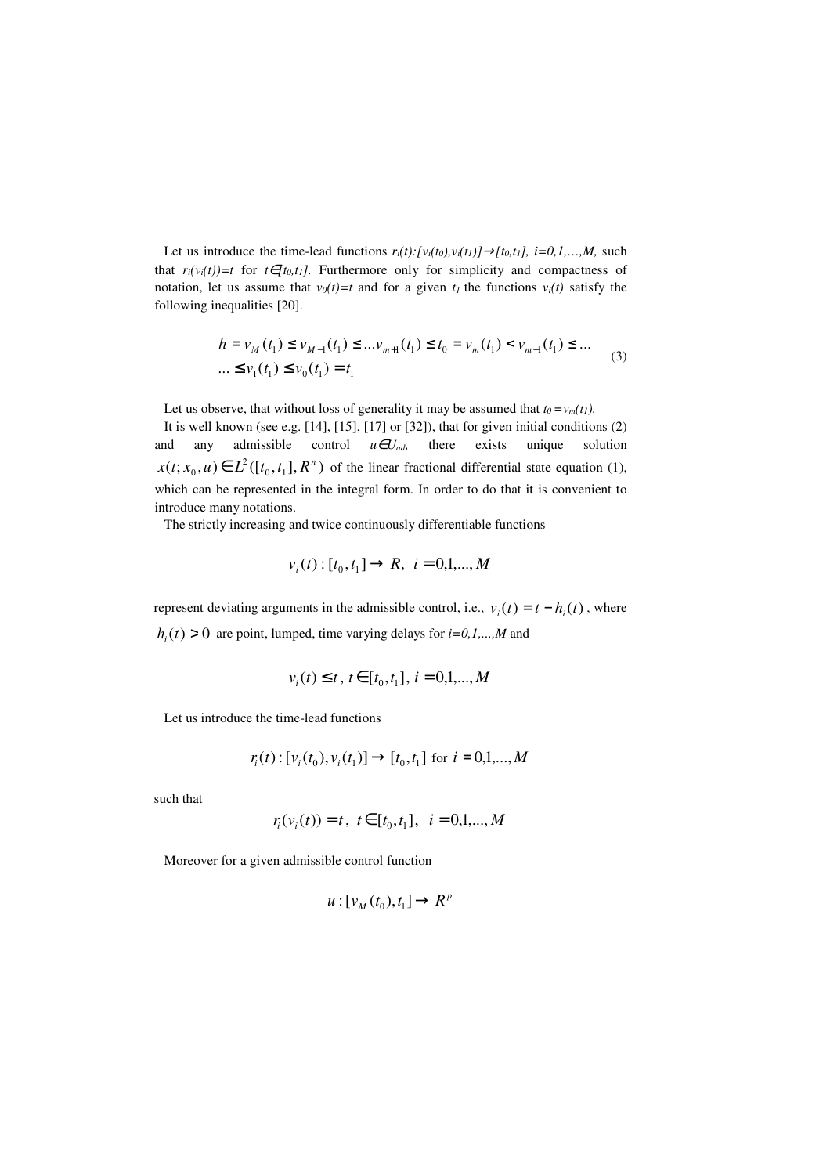Let us introduce the time-lead functions  $r_i(t): [v_i(t_0), v_i(t_1)] \rightarrow [t_0, t_1], i = 0, 1, \ldots, M$ , such that  $r_i(v_i(t))=t$  for  $t \in [t_0, t_1]$ . Furthermore only for simplicity and compactness of notation, let us assume that  $v_0(t)=t$  and for a given  $t_1$  the functions  $v_i(t)$  satisfy the following inequalities [20].

$$
h = v_M(t_1) \le v_{M-1}(t_1) \le ... v_{m+1}(t_1) \le t_0 = v_m(t_1) < v_{m-1}(t_1) \le ...
$$
  
...  $\le v_1(t_1) \le v_0(t_1) = t_1$  (3)

Let us observe, that without loss of generality it may be assumed that  $t_0 = v_m(t_1)$ .

 It is well known (see e.g. [14], [15], [17] or [32]), that for given initial conditions (2) and any admissible control  $u \in U_{ad}$ , there exists unique solution  $x(t; x_0, u) \in L^2([t_0, t_1], R^n)$  of the linear fractional differential state equation (1), which can be represented in the integral form. In order to do that it is convenient to introduce many notations.

The strictly increasing and twice continuously differentiable functions

$$
v_i(t): [t_0, t_1] \to R, \ i = 0, 1, \dots, M
$$

represent deviating arguments in the admissible control, i.e.,  $v_i(t) = t - h_i(t)$ , where  $h_i(t) > 0$  are point, lumped, time varying delays for  $i=0,1,...,M$  and

$$
v_i(t) \le t, \ t \in [t_0, t_1], \ i = 0, 1, \dots, M
$$

Let us introduce the time-lead functions

$$
r_i(t): [v_i(t_0), v_i(t_1)] \rightarrow [t_0, t_1]
$$
 for  $i = 0, 1, ..., M$ 

such that

$$
r_i(v_i(t)) = t, \ t \in [t_0, t_1], \ i = 0, 1, \ldots, M
$$

Moreover for a given admissible control function

$$
u:[v_M(t_0),t_1]\to R^p
$$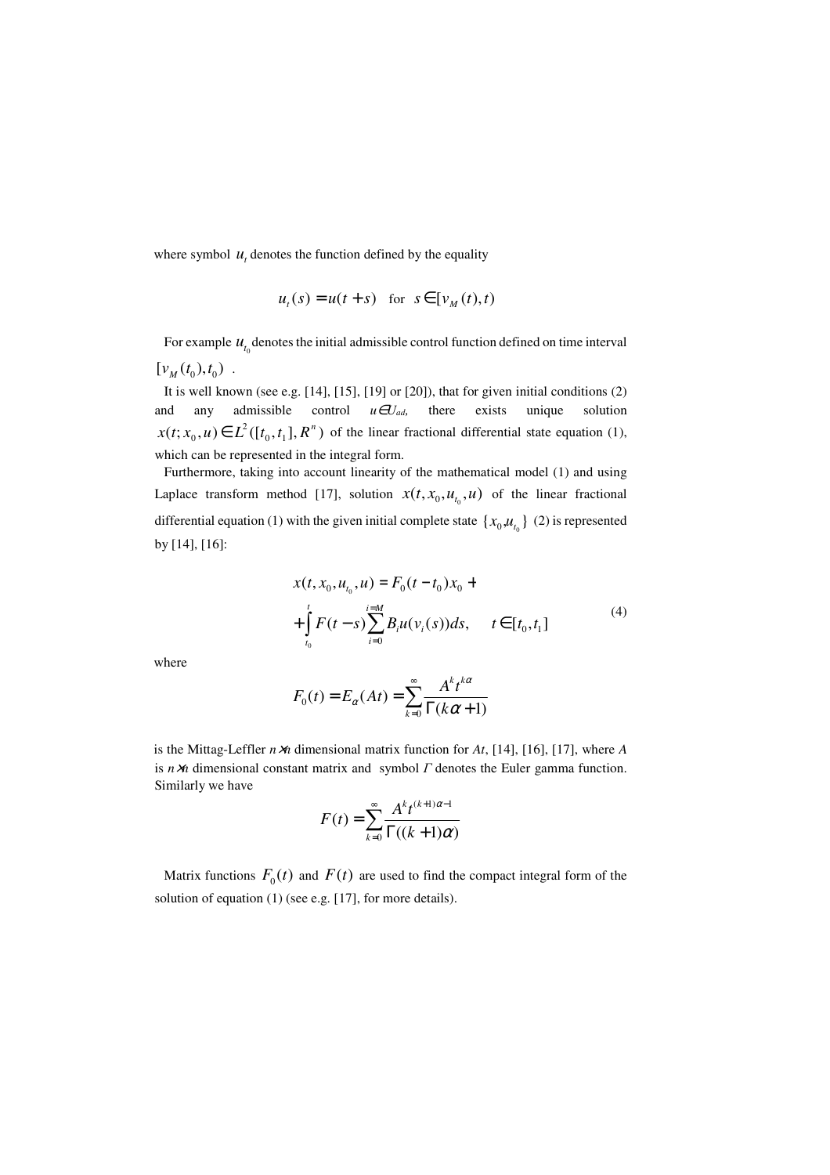where symbol  $u_t$  denotes the function defined by the equality

$$
u_t(s) = u(t+s) \quad \text{for } s \in [v_M(t),t)
$$

For example  $u_{t_0}$  denotes the initial admissible control function defined on time interval  $[v_M(t_0), t_0)$ .

 It is well known (see e.g. [14], [15], [19] or [20]), that for given initial conditions (2) and any admissible control  $u \in U_{ad}$ , there exists unique solution  $x(t; x_0, u) \in L^2([t_0, t_1], R^n)$  of the linear fractional differential state equation (1), which can be represented in the integral form.

 Furthermore, taking into account linearity of the mathematical model (1) and using Laplace transform method [17], solution  $x(t, x_0, u_{t_0}, u)$  of the linear fractional differential equation (1) with the given initial complete state  $\{x_0, u_{t_0}\}$  (2) is represented by [14], [16]:

$$
x(t, x_0, u_{t_0}, u) = F_0(t - t_0)x_0 +
$$
  
+ 
$$
\int_{t_0}^t F(t - s) \sum_{i=0}^{i=M} B_i u(v_i(s)) ds, \quad t \in [t_0, t_1]
$$
 (4)

where

$$
F_0(t) = E_{\alpha}(At) = \sum_{k=0}^{\infty} \frac{A^k t^{k\alpha}}{\Gamma(k\alpha + 1)}
$$

is the Mittag-Leffler *n*×*n* dimensional matrix function for *At*, [14], [16], [17], where *A* is  $n \times n$  dimensional constant matrix and symbol  $\Gamma$  denotes the Euler gamma function. Similarly we have

$$
F(t) = \sum_{k=0}^{\infty} \frac{A^k t^{(k+1)\alpha-1}}{\Gamma((k+1)\alpha)}
$$

Matrix functions  $F_0(t)$  and  $F(t)$  are used to find the compact integral form of the solution of equation (1) (see e.g. [17], for more details).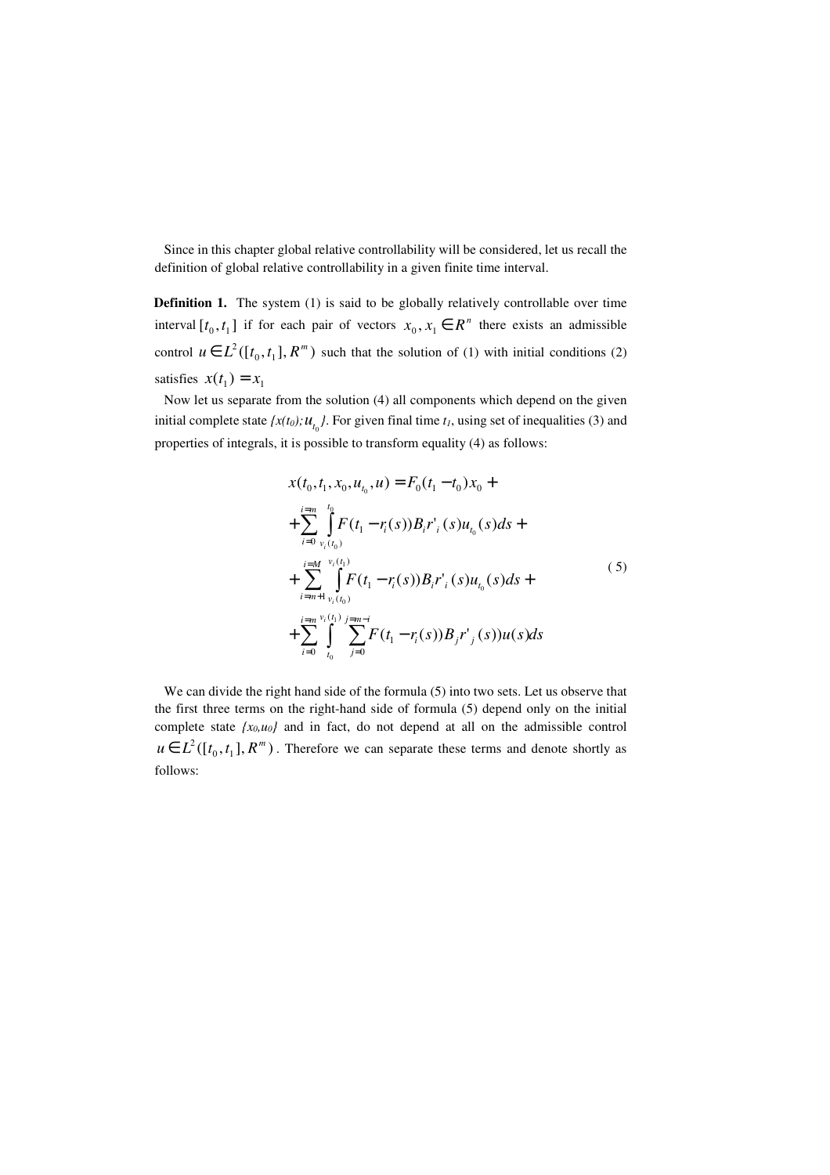Since in this chapter global relative controllability will be considered, let us recall the definition of global relative controllability in a given finite time interval.

**Definition 1.** The system (1) is said to be globally relatively controllable over time interval  $[t_0, t_1]$  if for each pair of vectors  $x_0, x_1 \in R^n$  there exists an admissible control  $u \in L^2([t_0, t_1], R^m)$  such that the solution of (1) with initial conditions (2) satisfies  $x(t_1) = x_1$ 

 Now let us separate from the solution (4) all components which depend on the given initial complete state  $\{x(t_0); u_{t_0}\}$ . For given final time  $t_1$ , using set of inequalities (3) and properties of integrals, it is possible to transform equality (4) as follows:

$$
x(t_0, t_1, x_0, u_{t_0}, u) = F_0(t_1 - t_0)x_0 +
$$
  
+ 
$$
\sum_{i=0}^{i=m} \int_{v_i(t_0)}^{t_0} F(t_1 - r_i(s))B_i r'_i(s)u_{t_0}(s)ds +
$$
  
+ 
$$
\sum_{i=m+1}^{i=M} \int_{v_i(t_0)}^{v_i(t_1)} F(t_1 - r_i(s))B_i r'_i(s)u_{t_0}(s)ds +
$$
  
+ 
$$
\sum_{i=0}^{i=m} \int_{t_0}^{v_i(t_1)} \sum_{j=0}^{j=m-i} F(t_1 - r_i(s))B_j r'_j(s)u(s)ds
$$
 (5)

We can divide the right hand side of the formula  $(5)$  into two sets. Let us observe that the first three terms on the right-hand side of formula (5) depend only on the initial complete state  ${x_0, u_0}$  and in fact, do not depend at all on the admissible control  $u \in L^2([t_0, t_1], R^m)$ . Therefore we can separate these terms and denote shortly as follows: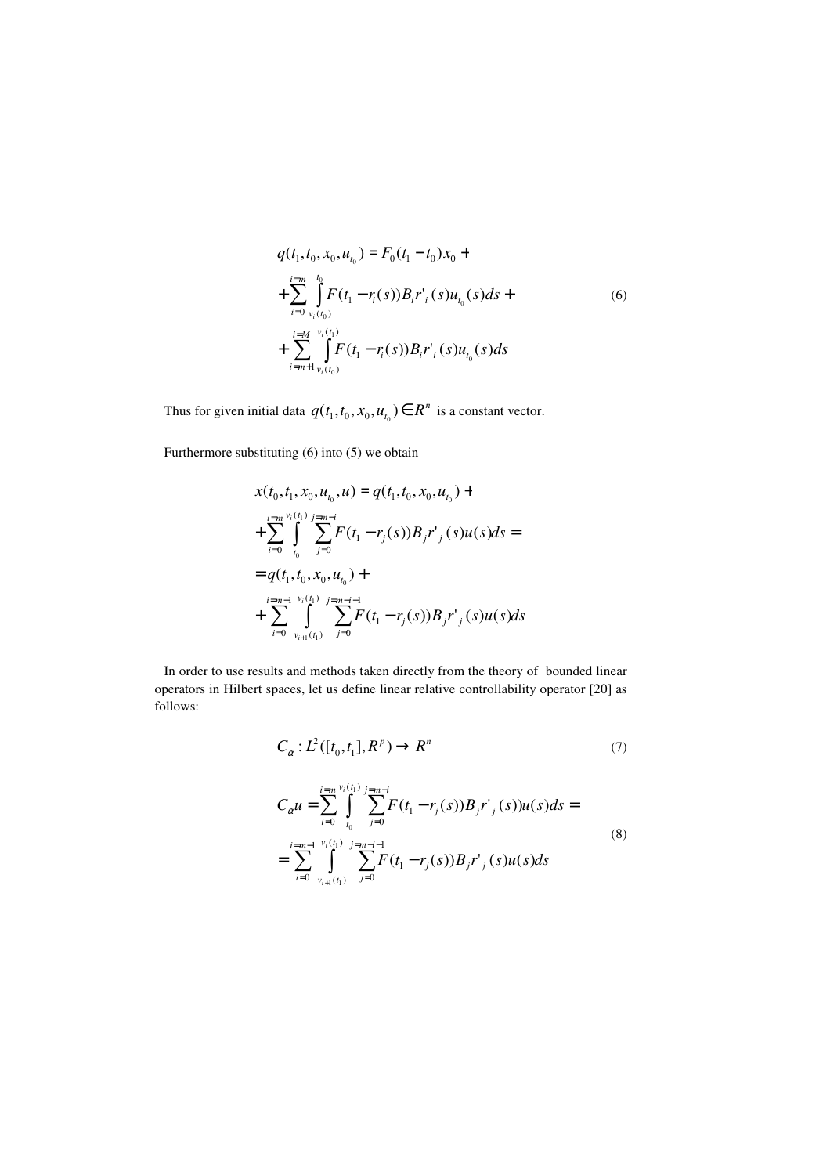$$
q(t_1, t_0, x_0, u_{t_0}) = F_0(t_1 - t_0)x_0 +
$$
  
+ 
$$
\sum_{i=0}^{i=m} \int_{v_i(t_0)}^{t_0} F(t_1 - r_i(s)) B_i r'_i(s) u_{t_0}(s) ds +
$$
  
+ 
$$
\sum_{i=m+1}^{i=M} \int_{v_i(t_0)}^{v_i(t_1)} F(t_1 - r_i(s)) B_i r'_i(s) u_{t_0}(s) ds
$$
 (6)

Thus for given initial data  $q(t_1, t_0, x_0, u_{t_0}) \in R^n$  is a constant vector.

Furthermore substituting (6) into (5) we obtain

$$
x(t_0, t_1, x_0, u_{t_0}, u) = q(t_1, t_0, x_0, u_{t_0}) +
$$
  
+ 
$$
\sum_{i=0}^{i=m} \int_{t_0}^{v_i(t_1)} \sum_{j=0}^{j=m-i} F(t_1 - r_j(s))B_j r'_{j}(s)u(s)ds =
$$
  
= 
$$
q(t_1, t_0, x_0, u_{t_0}) +
$$
  
+ 
$$
\sum_{i=0}^{i=m-1} \int_{v_{i+1}(t_1)}^{v_i(t_1)} \sum_{j=0}^{j=m-i-1} F(t_1 - r_j(s))B_j r'_{j}(s)u(s)ds
$$

 In order to use results and methods taken directly from the theory of bounded linear operators in Hilbert spaces, let us define linear relative controllability operator [20] as follows:

$$
C_{\alpha}: L^2([t_0, t_1], R^p) \to R^n \tag{7}
$$

$$
C_{\alpha}u = \sum_{i=0}^{i=m} \int_{t_0}^{v_i(t_1)} \sum_{j=m-i}^{j=m-i} F(t_1 - r_j(s))B_j r'_{j}(s)u(s)ds =
$$
  
= 
$$
\sum_{i=0}^{i=m-1} \int_{v_{i+1}(t_1)}^{v_i(t_1)} \sum_{j=0}^{j=m-i-1} F(t_1 - r_j(s))B_j r'_{j}(s)u(s)ds
$$
 (8)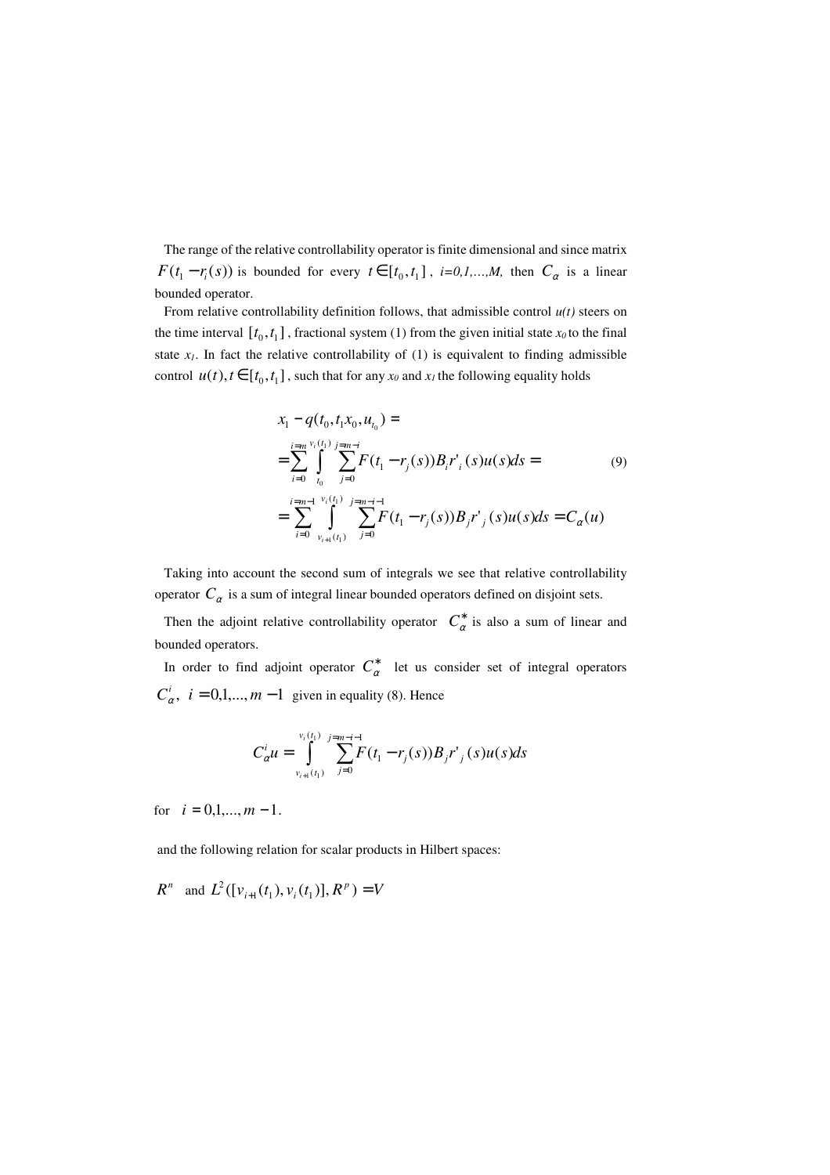The range of the relative controllability operator is finite dimensional and since matrix  $F(t_1 - r_i(s))$  is bounded for every  $t \in [t_0, t_1]$ ,  $i=0,1,...,M$ , then  $C_\alpha$  is a linear bounded operator.

From relative controllability definition follows, that admissible control  $u(t)$  steers on the time interval  $[t_0, t_1]$ , fractional system (1) from the given initial state  $x_0$  to the final state  $x_I$ . In fact the relative controllability of (1) is equivalent to finding admissible control  $u(t)$ ,  $t \in [t_0, t_1]$ , such that for any  $x_0$  and  $x_1$  the following equality holds

$$
x_{1} - q(t_{0}, t_{1}x_{0}, u_{t_{0}}) =
$$
\n
$$
= \sum_{i=0}^{i=m} \int_{t_{0}}^{v_{i}(t_{1})} \sum_{j=m-i}^{j=m-i} F(t_{1} - r_{j}(s)) B_{i} r'_{i}(s) u(s) ds =
$$
\n
$$
= \sum_{i=0}^{i=m-1} \int_{v_{i+1}(t_{1})}^{v_{i}(t_{1})} \sum_{j=0}^{j=m-i-1} F(t_{1} - r_{j}(s)) B_{j} r'_{j}(s) u(s) ds = C_{\alpha}(u)
$$
\n(9)

 Taking into account the second sum of integrals we see that relative controllability operator  $C_{\alpha}$  is a sum of integral linear bounded operators defined on disjoint sets.

Then the adjoint relative controllability operator  $C^*_{\alpha}$  is also a sum of linear and bounded operators.

In order to find adjoint operator  $C^*_{\alpha}$  let us consider set of integral operators  $C^i_\alpha$ ,  $i = 0,1,...,m-1$  given in equality (8). Hence

$$
C_{\alpha}^{i}u = \int_{v_{i+1}(t_1)}^{v_i(t_1)} \sum_{j=0}^{j=m-i-1} F(t_1 - r_j(s))B_j r'_{j}(s)u(s)ds
$$

for  $i = 0, 1, \ldots, m - 1$ .

and the following relation for scalar products in Hilbert spaces:

 $R^n$  and  $L^2([v_{i+1}(t_1), v_i(t_1)], R^p) = V$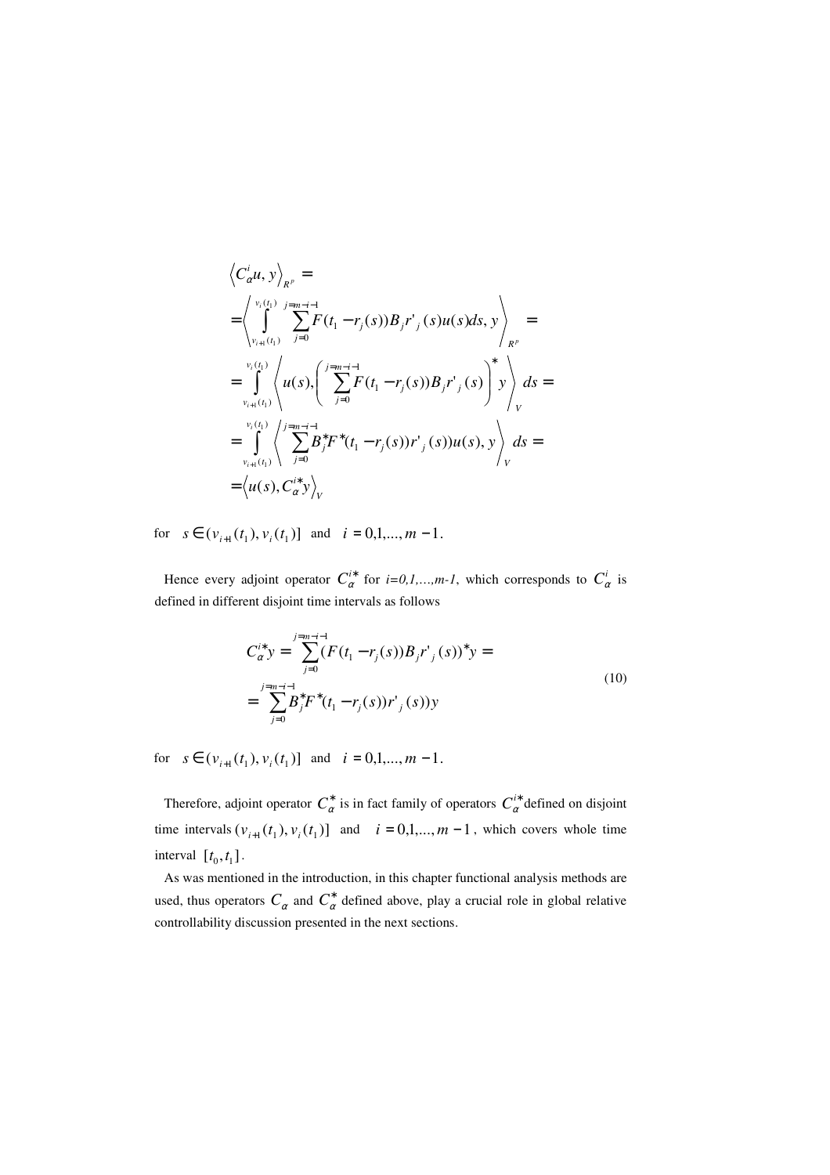$$
\left\langle C_{\alpha}^{i} u, y \right\rangle_{R^{p}} =
$$
\n
$$
= \left\langle \int_{v_{i+1}(t_{1})}^{v_{i}(t_{1})} \sum_{j=0}^{j=m-i-1} F(t_{1} - r_{j}(s)) B_{j} r'_{j}(s) u(s) ds, y \right\rangle_{R^{p}}
$$
\n
$$
= \int_{v_{i+1}(t_{1})}^{v_{i}(t_{1})} \left\langle u(s) \left( \sum_{j=0}^{j=m-i-1} F(t_{1} - r_{j}(s)) B_{j} r'_{j}(s) \right) y \right\rangle_{V} ds =
$$
\n
$$
= \int_{v_{i+1}(t_{1})}^{v_{i}(t_{1})} \left\langle \sum_{j=0}^{j=m-i-1} B_{j}^{*} F^{*}(t_{1} - r_{j}(s)) r'_{j}(s) u(s), y \right\rangle_{V} ds =
$$
\n
$$
= \left\langle u(s), C_{\alpha}^{i*} y \right\rangle_{V}
$$

for  $s \in (v_{i+1}(t_1), v_i(t_1))$  and  $i = 0,1,..., m-1$ .

Hence every adjoint operator  $C_{\alpha}^{i*}$  for *i*=0,1,...,*m*-1, which corresponds to  $C_{\alpha}^{i}$  is defined in different disjoint time intervals as follows

$$
C_{\alpha}^{i*} y = \sum_{j=0}^{j=m-i-1} (F(t_1 - r_j(s))B_j r'_{j}(s))^* y =
$$
  
= 
$$
\sum_{j=0}^{j=m-i-1} B_j^* F^*(t_1 - r_j(s))r'_{j}(s) y
$$
 (10)

for  $s \in (v_{i+1}(t_1), v_i(t_1))$  and  $i = 0,1,..., m-1$ .

Therefore, adjoint operator  $C^*_{\alpha}$  is in fact family of operators  $C^*_{\alpha}$  defined on disjoint time intervals  $(v_{i+1}(t_1), v_i(t_1))$  and  $i = 0,1,..., m-1$ , which covers whole time interval  $[t_0, t_1]$ .

 As was mentioned in the introduction, in this chapter functional analysis methods are used, thus operators  $C_{\alpha}$  and  $C_{\alpha}^*$  defined above, play a crucial role in global relative controllability discussion presented in the next sections.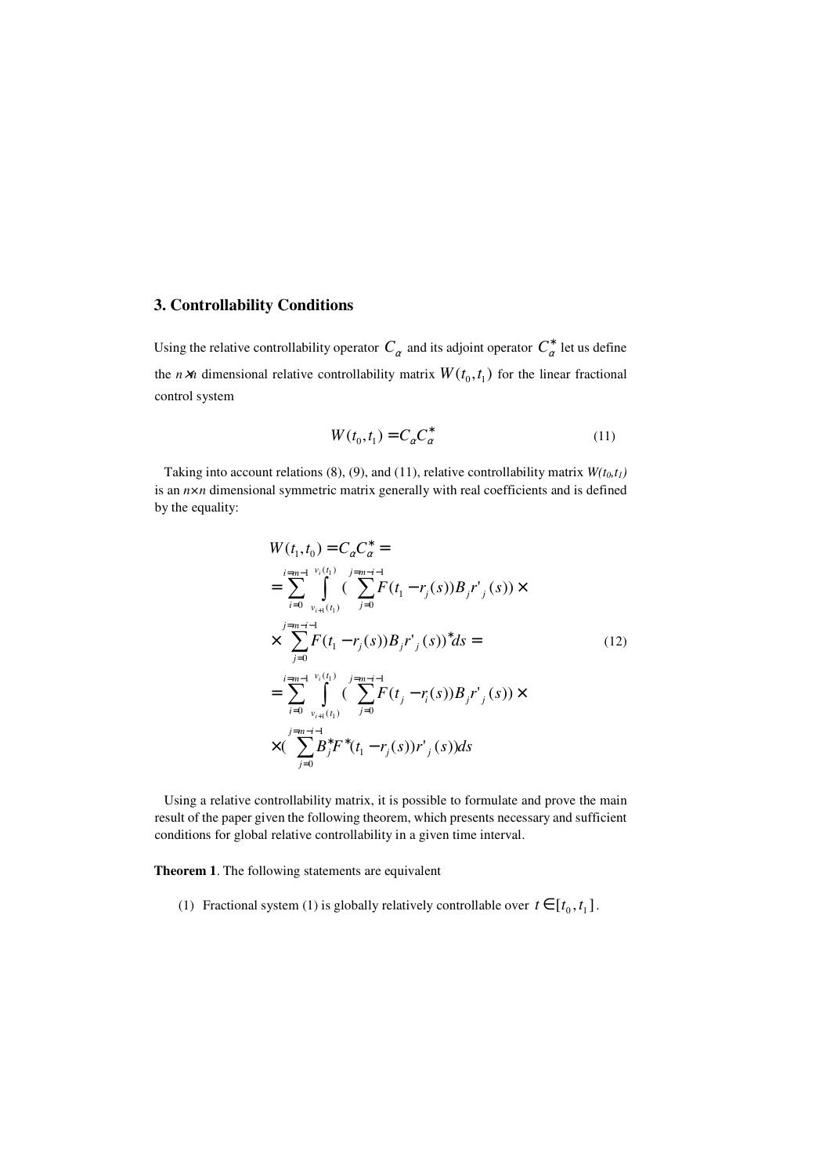### **3. Controllability Conditions**

Using the relative controllability operator  $C_\alpha$  and its adjoint operator  $C^*_\alpha$  let us define the *n* $\times$ *n* dimensional relative controllability matrix  $W(t_0, t_1)$  for the linear fractional control system

$$
W(t_0, t_1) = C_{\alpha} C_{\alpha}^* \tag{11}
$$

Taking into account relations (8), (9), and (11), relative controllability matrix  $W(t_0, t_1)$ is an *n×n* dimensional symmetric matrix generally with real coefficients and is defined by the equality:

$$
W(t_1, t_0) = C_{\alpha} C_{\alpha}^* =
$$
  
\n
$$
= \sum_{i=0}^{i=m-1} \int_{v_i(t_1)}^{v_i(t_1)} \left( \sum_{j=0}^{j=m-i-1} F(t_1 - r_j(s))B_j r'_{j}(s) \right) \times
$$
  
\n
$$
\times \sum_{j=0}^{j=m-i-1} F(t_1 - r_j(s))B_j r'_{j}(s) \Big)^* ds =
$$
  
\n
$$
= \sum_{i=0}^{i=m-1} \int_{v_{i+1}(t_1)}^{v_i(t_1)} \left( \sum_{j=0}^{j=m-i-1} F(t_j - r_i(s))B_j r'_{j}(s) \right) \times
$$
  
\n
$$
\times \left( \sum_{j=0}^{j=m-i-1} B_j^* F^*(t_1 - r_j(s)) r'_{j}(s) \right) ds
$$
 (12)

 Using a relative controllability matrix, it is possible to formulate and prove the main result of the paper given the following theorem, which presents necessary and sufficient conditions for global relative controllability in a given time interval.

**Theorem 1**. The following statements are equivalent

(1) Fractional system (1) is globally relatively controllable over  $t \in [t_0, t_1]$ .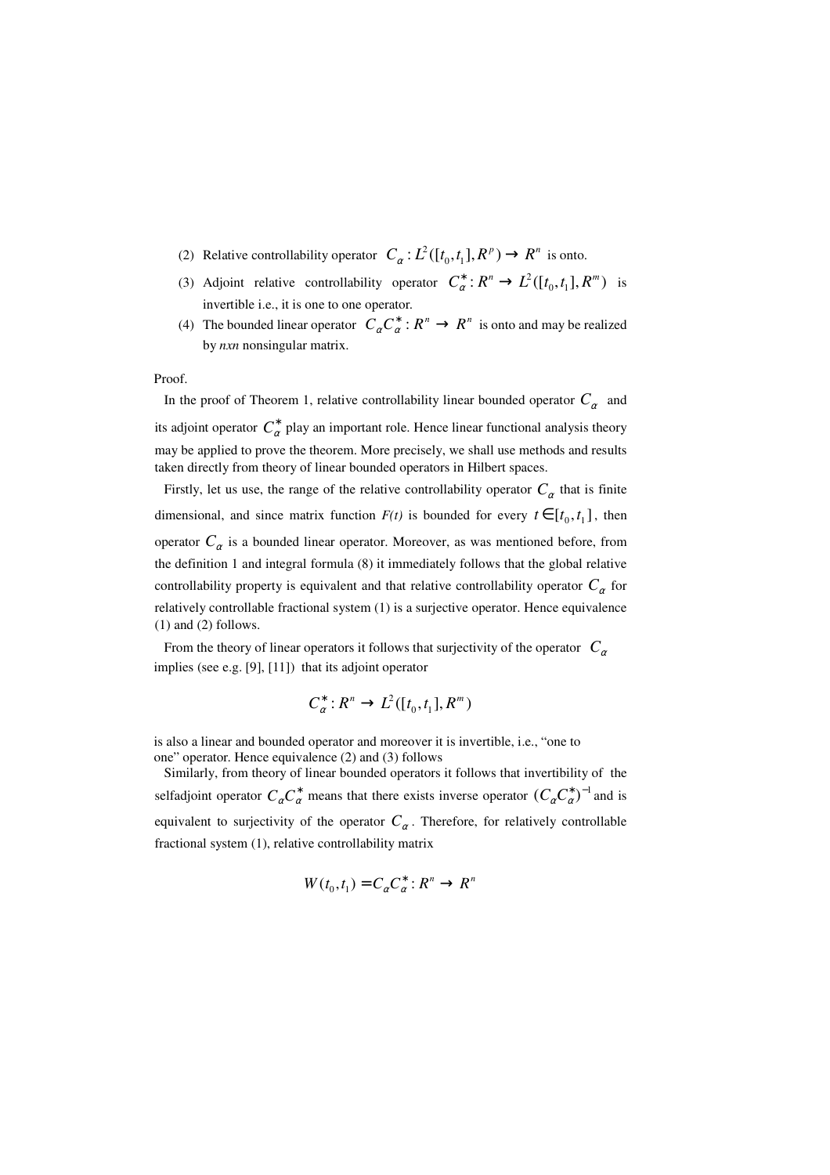- (2) Relative controllability operator  $C_{\alpha}: L^2([t_0, t_1], R^p) \to R^n$  is onto.
- (3) Adjoint relative controllability operator  $C^*_{\alpha}: R^n \to L^2([t_0, t_1], R^m)$  is invertible i.e., it is one to one operator.
- (4) The bounded linear operator  $C_{\alpha} C_{\alpha}^{*}: R^{n} \to R^{n}$  is onto and may be realized by *nxn* nonsingular matrix.

#### Proof.

In the proof of Theorem 1, relative controllability linear bounded operator  $C_\alpha$  and its adjoint operator  $C^*_{\alpha}$  play an important role. Hence linear functional analysis theory may be applied to prove the theorem. More precisely, we shall use methods and results taken directly from theory of linear bounded operators in Hilbert spaces.

Firstly, let us use, the range of the relative controllability operator  $C_{\alpha}$  that is finite dimensional, and since matrix function  $F(t)$  is bounded for every  $t \in [t_0, t_1]$ , then operator  $C_{\alpha}$  is a bounded linear operator. Moreover, as was mentioned before, from the definition 1 and integral formula (8) it immediately follows that the global relative controllability property is equivalent and that relative controllability operator  $C_{\alpha}$  for relatively controllable fractional system (1) is a surjective operator. Hence equivalence (1) and (2) follows.

From the theory of linear operators it follows that surjectivity of the operator  $C_{\alpha}$ implies (see e.g. [9], [11]) that its adjoint operator

$$
C^*_\alpha: R^n \to L^2([t_0,t_1], R^m)
$$

is also a linear and bounded operator and moreover it is invertible, i.e., "one to one" operator. Hence equivalence (2) and (3) follows

 Similarly, from theory of linear bounded operators it follows that invertibility of the selfadjoint operator  $C_{\alpha} C_{\alpha}^{*}$  means that there exists inverse operator  $(C_{\alpha} C_{\alpha}^{*})^{-1}$  and is equivalent to surjectivity of the operator  $C_{\alpha}$ . Therefore, for relatively controllable fractional system (1), relative controllability matrix

$$
W(t_0,t_1) = C_{\alpha} C_{\alpha}^* : R^n \to R^n
$$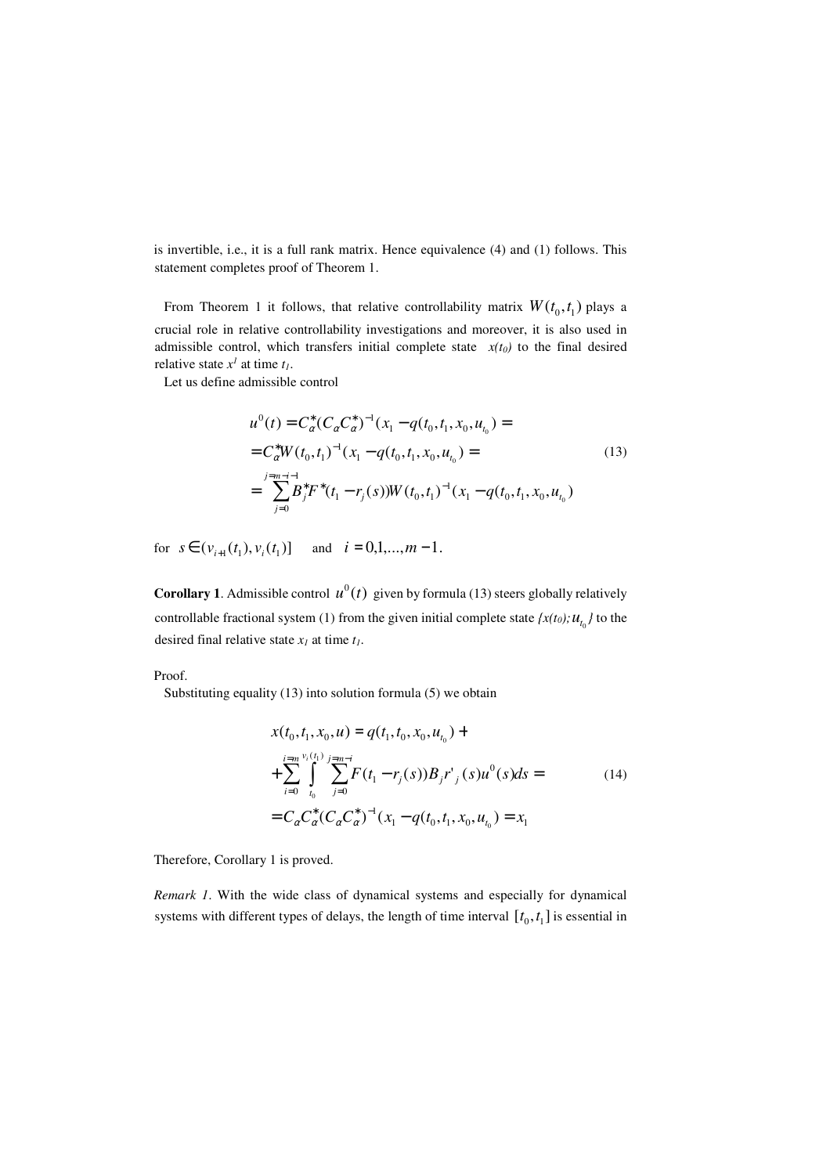is invertible, i.e., it is a full rank matrix. Hence equivalence (4) and (1) follows. This statement completes proof of Theorem 1.

From Theorem 1 it follows, that relative controllability matrix  $W(t_0, t_1)$  plays a crucial role in relative controllability investigations and moreover, it is also used in admissible control, which transfers initial complete state  $x(t_0)$  to the final desired relative state  $x^I$  at time  $t_I$ .

Let us define admissible control

$$
u^{0}(t) = C_{\alpha}^{*}(C_{\alpha}C_{\alpha}^{*})^{-1}(x_{1} - q(t_{0}, t_{1}, x_{0}, u_{t_{0}})) =
$$
  
\n
$$
= C_{\alpha}^{*}W(t_{0}, t_{1})^{-1}(x_{1} - q(t_{0}, t_{1}, x_{0}, u_{t_{0}})) =
$$
  
\n
$$
= \sum_{j=0}^{j=m-i-1} B_{j}^{*}F^{*}(t_{1} - r_{j}(s))W(t_{0}, t_{1})^{-1}(x_{1} - q(t_{0}, t_{1}, x_{0}, u_{t_{0}}))
$$
\n(13)

for  $s \in (v_{i+1}(t_1), v_i(t_1))$  and  $i = 0,1,...,m-1$ .

**Corollary 1**. Admissible control  $u^0(t)$  given by formula (13) steers globally relatively controllable fractional system (1) from the given initial complete state  $\{x(t_0); u_{t_0}\}$  to the desired final relative state  $x_I$  at time  $t_I$ .

#### Proof.

Substituting equality (13) into solution formula (5) we obtain

$$
x(t_0, t_1, x_0, u) = q(t_1, t_0, x_0, u_{t_0}) +
$$
  
+ 
$$
\sum_{i=0}^{\lim_{t \to n} v_i(t_1)} \sum_{j=0}^{j=m-i} F(t_1 - r_j(s)) B_j r'_{j}(s) u^{0}(s) ds =
$$
  
= 
$$
C_{\alpha} C_{\alpha}^{*} (C_{\alpha} C_{\alpha}^{*})^{-1} (x_1 - q(t_0, t_1, x_0, u_{t_0}) = x_1
$$
 (14)

Therefore, Corollary 1 is proved.

*Remark 1*. With the wide class of dynamical systems and especially for dynamical systems with different types of delays, the length of time interval  $[t_0, t_1]$  is essential in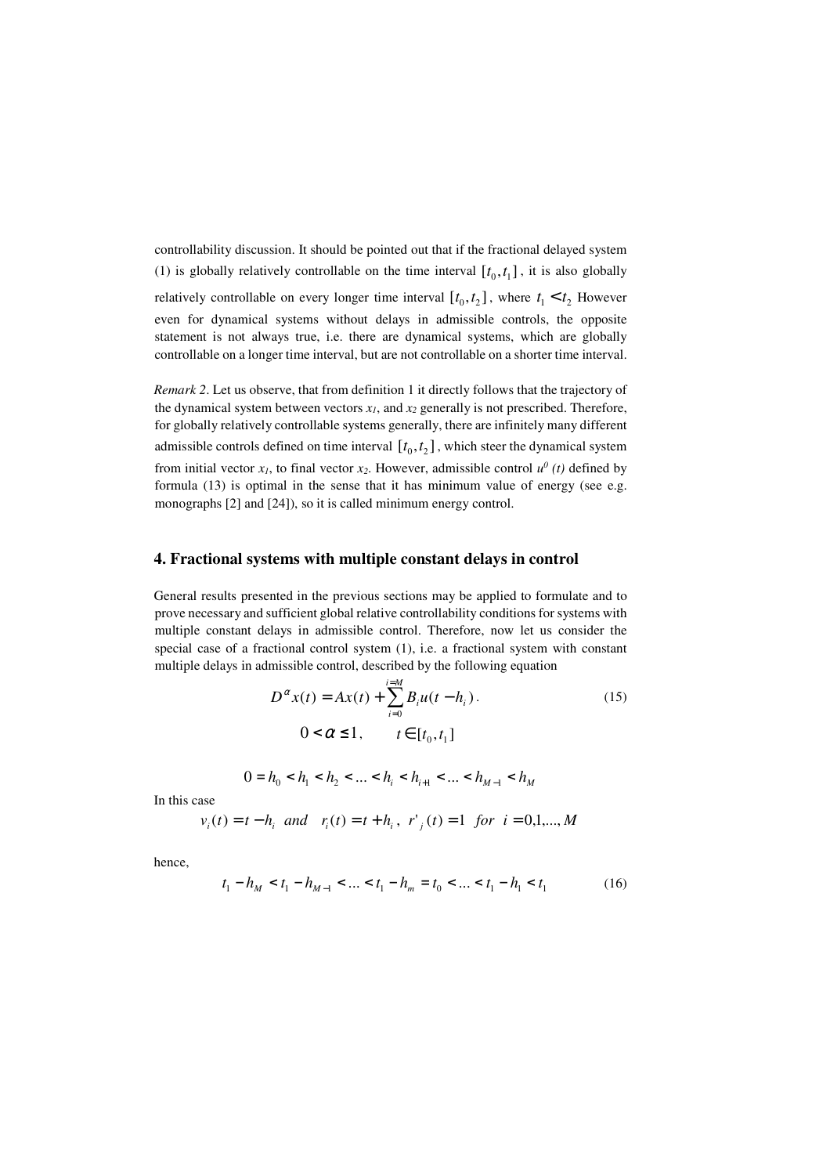controllability discussion. It should be pointed out that if the fractional delayed system (1) is globally relatively controllable on the time interval  $[t_0, t_1]$ , it is also globally relatively controllable on every longer time interval  $[t_0, t_2]$ , where  $t_1 < t_2$  However even for dynamical systems without delays in admissible controls, the opposite statement is not always true, i.e. there are dynamical systems, which are globally controllable on a longer time interval, but are not controllable on a shorter time interval.

*Remark 2*. Let us observe, that from definition 1 it directly follows that the trajectory of the dynamical system between vectors  $x_1$ , and  $x_2$  generally is not prescribed. Therefore, for globally relatively controllable systems generally, there are infinitely many different admissible controls defined on time interval  $[t_0, t_2]$ , which steer the dynamical system from initial vector  $x_1$ , to final vector  $x_2$ . However, admissible control  $u^0$  (t) defined by formula (13) is optimal in the sense that it has minimum value of energy (see e.g. monographs [2] and [24]), so it is called minimum energy control.

#### **4. Fractional systems with multiple constant delays in control**

General results presented in the previous sections may be applied to formulate and to prove necessary and sufficient global relative controllability conditions for systems with multiple constant delays in admissible control. Therefore, now let us consider the special case of a fractional control system (1), i.e. a fractional system with constant multiple delays in admissible control, described by the following equation

$$
D^{\alpha} x(t) = Ax(t) + \sum_{i=0}^{i=M} B_i u(t - h_i).
$$
\n
$$
0 < \alpha \le 1, \qquad t \in [t_0, t_1]
$$
\n(15)

$$
0 = h_0 < h_1 < h_2 < \ldots < h_i < h_{i+1} < \ldots < h_{M-1} < h_M
$$

In this case

$$
v_i(t) = t - h_i
$$
 and  $r_i(t) = t + h_i$ ,  $r'_i(t) = 1$  for  $i = 0,1,...,M$ 

hence,

$$
t_1 - h_M < t_1 - h_{M-1} < \dots < t_1 - h_m = t_0 < \dots < t_1 - h_1 < t_1 \tag{16}
$$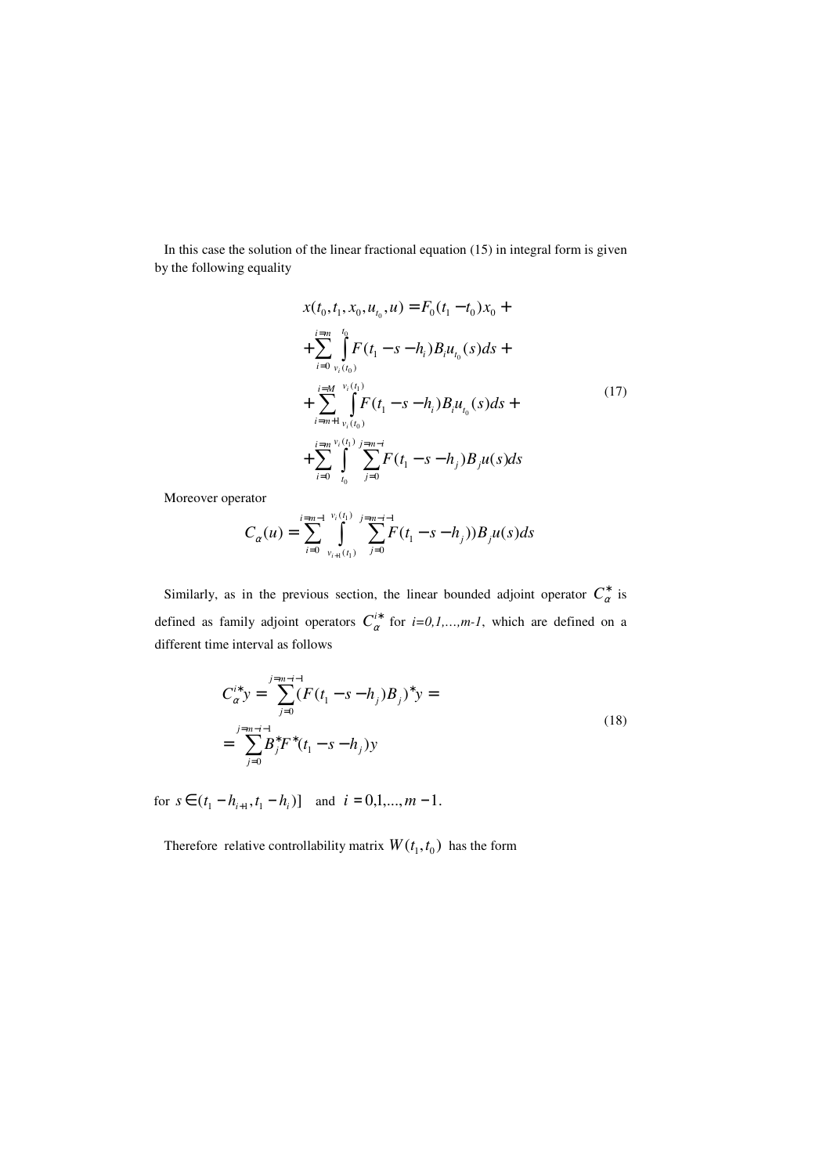In this case the solution of the linear fractional equation (15) in integral form is given by the following equality

$$
x(t_0, t_1, x_0, u_{t_0}, u) = F_0(t_1 - t_0)x_0 +
$$
  
+ 
$$
\sum_{i=0}^{i=m} \int_{v_i(t_0)}^{t_0} F(t_1 - s - h_i)B_i u_{t_0}(s) ds +
$$
  
+ 
$$
\sum_{i=m+1}^{i=M} \int_{v_i(t_0)}^{v_i(t_1)} F(t_1 - s - h_i)B_i u_{t_0}(s) ds +
$$
  
+ 
$$
\sum_{i=0}^{i=m} \int_{t_0}^{v_i(t_1)} \sum_{j=0}^{j=m-i} F(t_1 - s - h_j)B_j u(s) ds
$$
 (17)

Moreover operator

$$
C_{\alpha}(u) = \sum_{i=0}^{i=m-1} \int\limits_{v_{i+1}(t_1)}^{v_i(t_1)} \sum_{j=0}^{j=m-i-1} F(t_1 - s - h_j)) B_j u(s) ds
$$

Similarly, as in the previous section, the linear bounded adjoint operator  $C^*_{\alpha}$  is defined as family adjoint operators  $C_{\alpha}^{i*}$  for *i=0,1,…,m-1*, which are defined on a different time interval as follows

$$
C_{\alpha}^{i*} y = \sum_{j=0}^{j=m-i-1} (F(t_1 - s - h_j)B_j)^* y =
$$
  
= 
$$
\sum_{j=0}^{j=m-i-1} B_j^* F^*(t_1 - s - h_j) y
$$
 (18)

for  $s \in (t_1 - h_{i+1}, t_1 - h_i)$  and  $i = 0, 1, ..., m - 1$ .

Therefore relative controllability matrix  $W(t_1, t_0)$  has the form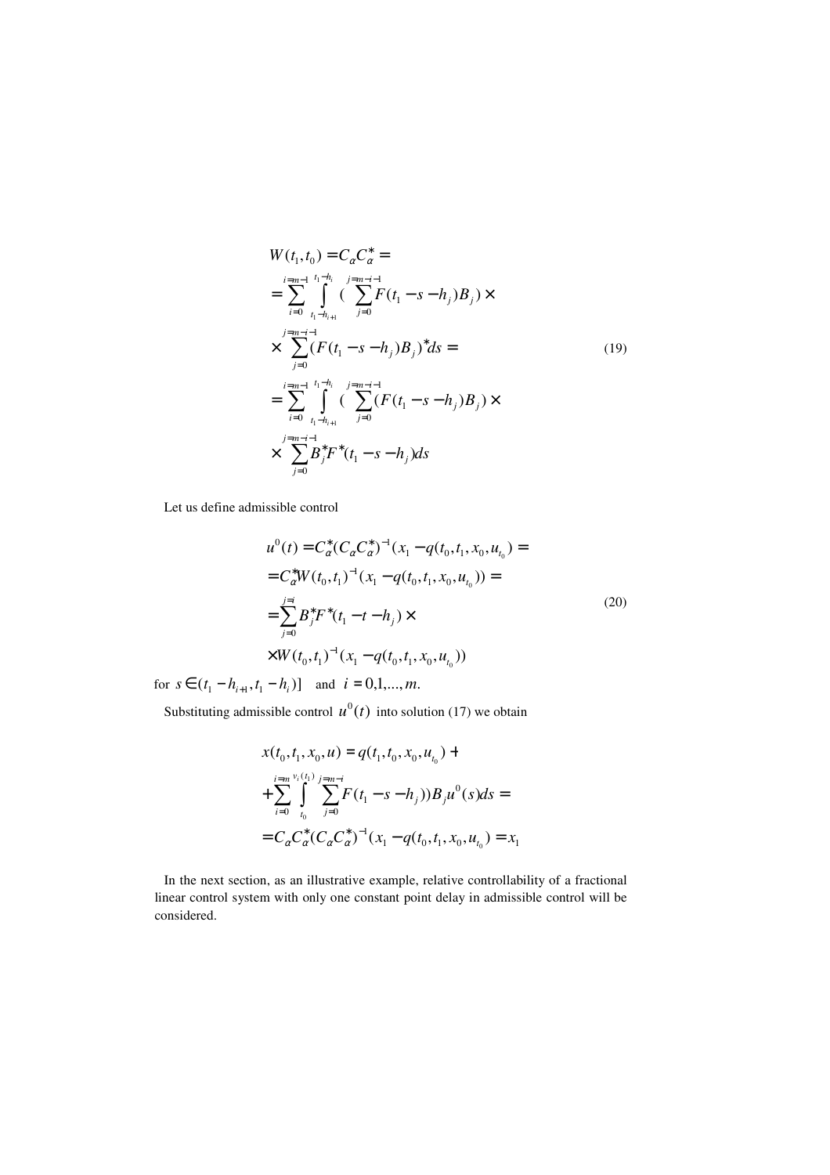$$
W(t_1, t_0) = C_{\alpha} C_{\alpha}^* =
$$
  
\n
$$
= \sum_{i=0}^{i=m-1} \int_{t_1-h_{i+1}}^{t_1-h_i} (\sum_{j=0}^{j=m-i-1} F(t_1 - s - h_j)B_j) \times
$$
  
\n
$$
\times \sum_{j=0}^{j=m-i-1} (F(t_1 - s - h_j)B_j)^* ds =
$$
  
\n
$$
= \sum_{i=0}^{i=m-1} \int_{t_1-h_{i+1}}^{t_1-h_i} (\sum_{j=0}^{j=m-i-1} (F(t_1 - s - h_j)B_j) \times
$$
  
\n
$$
\times \sum_{j=0}^{j=m-i-1} B_j^* F^*(t_1 - s - h_j) ds
$$
 (19)

Let us define admissible control

$$
u^{0}(t) = C_{\alpha}^{*}(C_{\alpha}C_{\alpha}^{*})^{-1}(x_{1} - q(t_{0}, t_{1}, x_{0}, u_{t_{0}})) =
$$
  
\n
$$
= C_{\alpha}^{*}W(t_{0}, t_{1})^{-1}(x_{1} - q(t_{0}, t_{1}, x_{0}, u_{t_{0}})) =
$$
  
\n
$$
= \sum_{j=0}^{j=i} B_{j}^{*}F^{*}(t_{1} - t - h_{j}) \times
$$
  
\n
$$
\times W(t_{0}, t_{1})^{-1}(x_{1} - q(t_{0}, t_{1}, x_{0}, u_{t_{0}}))
$$
\n(20)

for  $s \in (t_1 - h_{i+1}, t_1 - h_i)$  and  $i = 0, 1, ..., m$ .

Substituting admissible control  $u^0(t)$  into solution (17) we obtain

$$
x(t_0, t_1, x_0, u) = q(t_1, t_0, x_0, u_{t_0}) +
$$
  
+ 
$$
\sum_{i=0}^{i=m} \int_{t_0}^{v_i(t_1)} \sum_{j=0}^{j=m-i} F(t_1 - s - h_j)) B_j u^0(s) ds =
$$
  
= 
$$
C_{\alpha} C_{\alpha}^* (C_{\alpha} C_{\alpha}^*)^{-1} (x_1 - q(t_0, t_1, x_0, u_{t_0}) = x_1
$$

 In the next section, as an illustrative example, relative controllability of a fractional linear control system with only one constant point delay in admissible control will be considered.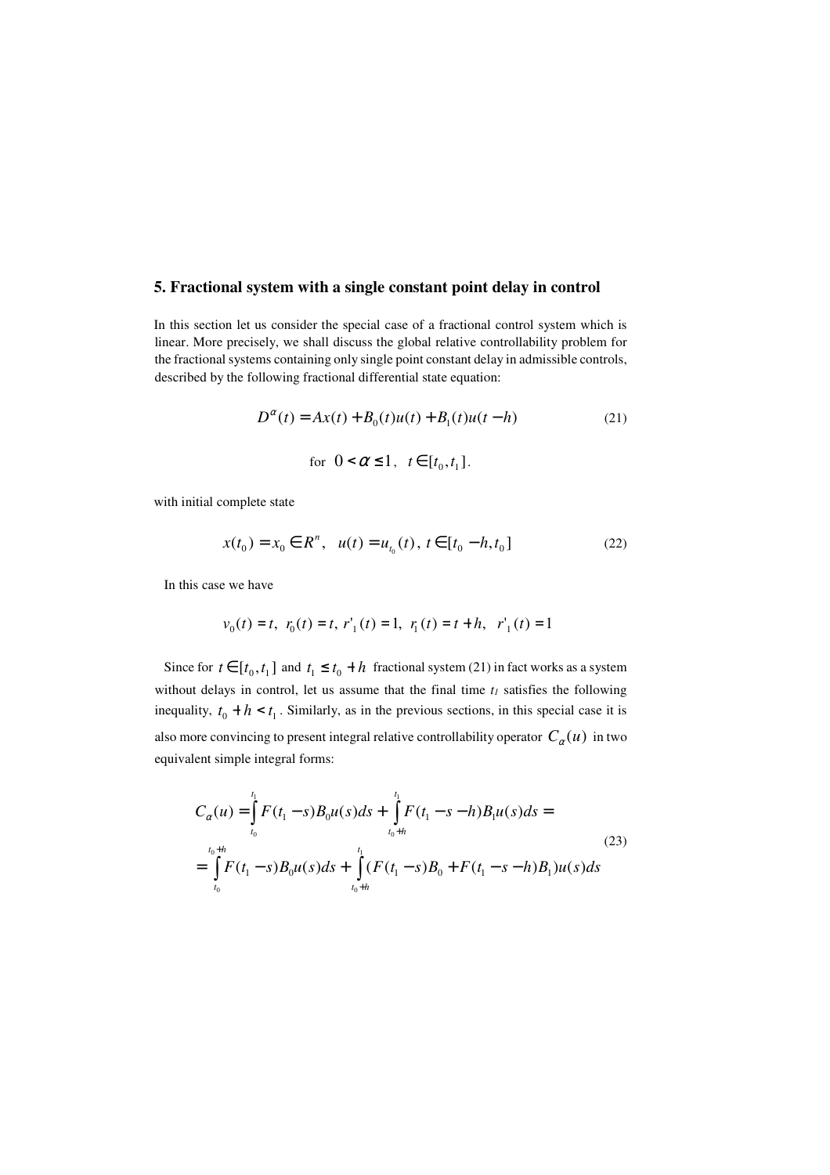## **5. Fractional system with a single constant point delay in control**

In this section let us consider the special case of a fractional control system which is linear. More precisely, we shall discuss the global relative controllability problem for the fractional systems containing only single point constant delay in admissible controls, described by the following fractional differential state equation:

$$
D^{\alpha}(t) = Ax(t) + B_0(t)u(t) + B_1(t)u(t - h)
$$
\n(21)

for 
$$
0 < \alpha \le 1
$$
,  $t \in [t_0, t_1]$ .

with initial complete state

$$
x(t_0) = x_0 \in R^n, \ \ u(t) = u_{t_0}(t), \ t \in [t_0 - h, t_0]
$$
\n
$$
(22)
$$

In this case we have

$$
v_0(t) = t
$$
,  $r_0(t) = t$ ,  $r'_1(t) = 1$ ,  $r_1(t) = t + h$ ,  $r'_1(t) = 1$ 

Since for  $t \in [t_0, t_1]$  and  $t_1 \le t_0 + h$  fractional system (21) in fact works as a system without delays in control, let us assume that the final time *t1* satisfies the following inequality,  $t_0 + h < t_1$ . Similarly, as in the previous sections, in this special case it is also more convincing to present integral relative controllability operator  $C_\alpha(u)$  in two equivalent simple integral forms:

$$
C_{\alpha}(u) = \int_{t_0}^{t_1} F(t_1 - s)B_0 u(s)ds + \int_{t_0+h}^{t_1} F(t_1 - s - h)B_1 u(s)ds =
$$
  
= 
$$
\int_{t_0}^{t_0+h} F(t_1 - s)B_0 u(s)ds + \int_{t_0+h}^{t_1} (F(t_1 - s)B_0 + F(t_1 - s - h)B_1)u(s)ds
$$
 (23)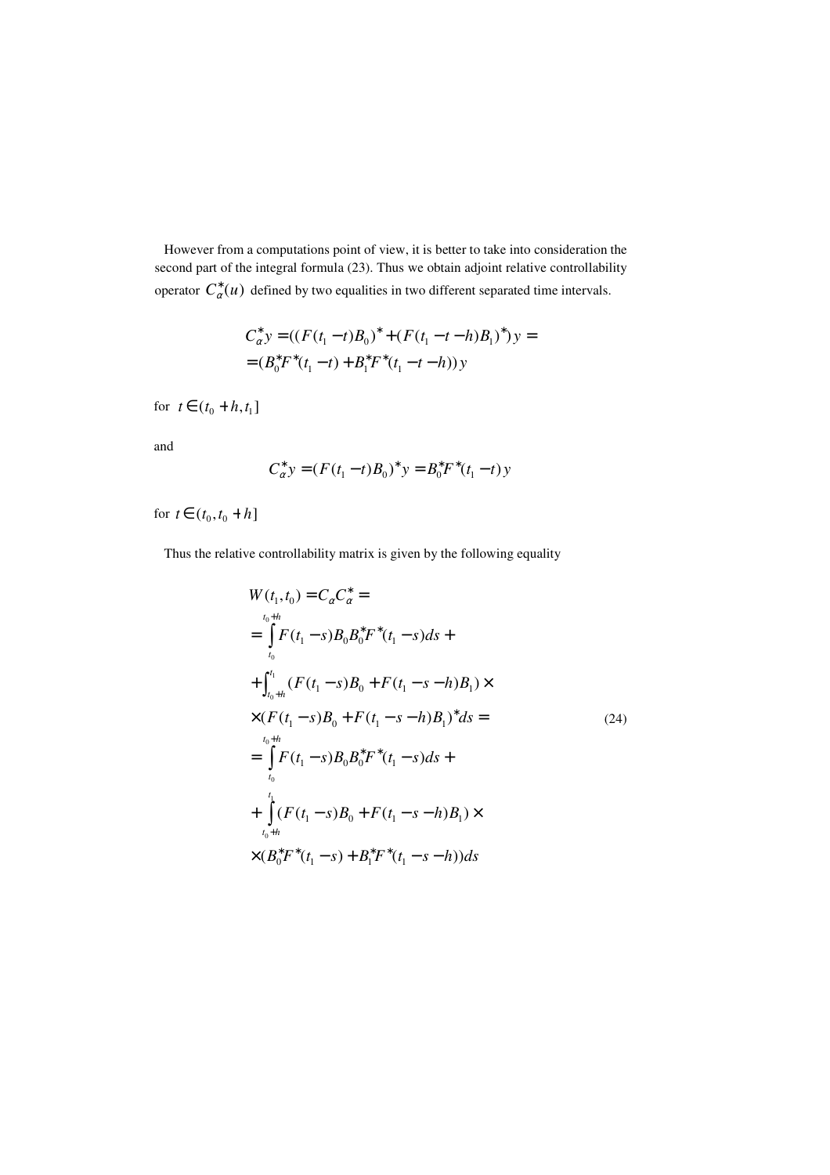However from a computations point of view, it is better to take into consideration the second part of the integral formula (23). Thus we obtain adjoint relative controllability operator  $C_{\alpha}^{*}(u)$  defined by two equalities in two different separated time intervals.

$$
C_{\alpha}^* y = ((F(t_1 - t)B_0)^* + (F(t_1 - t - h)B_1)^*) y =
$$
  
=  $(B_0^* F^*(t_1 - t) + B_1^* F^*(t_1 - t - h)) y$ 

for  $t \in (t_0 + h, t_1]$ 

and

$$
C_{\alpha}^{*} y = (F(t_{1} - t)B_{0})^{*} y = B_{0}^{*} F^{*}(t_{1} - t) y
$$

for  $t \in (t_0, t_0 + h]$ 

Thus the relative controllability matrix is given by the following equality

$$
W(t_1, t_0) = C_{\alpha} C_{\alpha}^* =
$$
  
\n
$$
= \int_{t_0}^{t_0+h} F(t_1 - s) B_0 B_0^* F^*(t_1 - s) ds +
$$
  
\n
$$
+ \int_{t_0+h}^{t_1} (F(t_1 - s) B_0 + F(t_1 - s - h) B_1) \times
$$
  
\n
$$
\times (F(t_1 - s) B_0 + F(t_1 - s - h) B_1)^* ds =
$$
  
\n
$$
= \int_{t_0}^{t_0+h} F(t_1 - s) B_0 B_0^* F^*(t_1 - s) ds +
$$
  
\n
$$
+ \int_{t_0+h}^{t_1} (F(t_1 - s) B_0 + F(t_1 - s - h) B_1) \times
$$
  
\n
$$
\times (B_0^* F^*(t_1 - s) + B_1^* F^*(t_1 - s - h)) ds
$$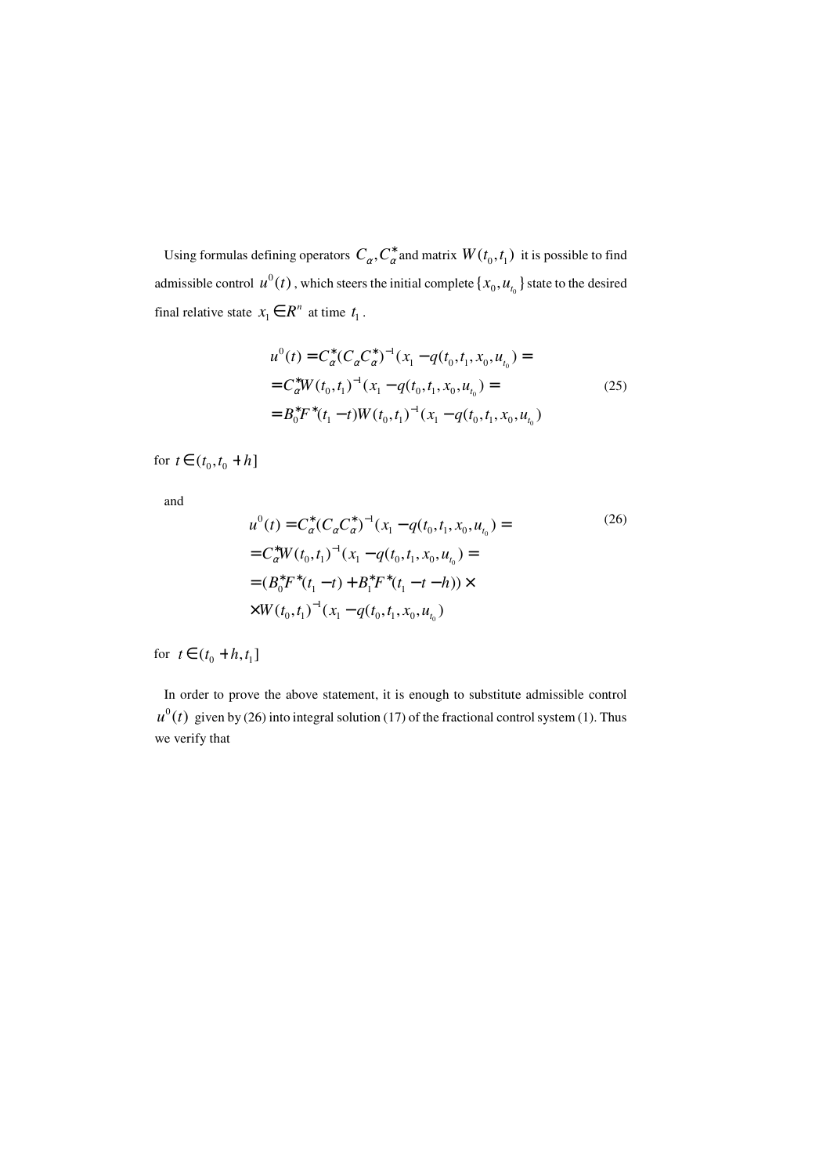Using formulas defining operators  $C_\alpha$ ,  $C^*_\alpha$  and matrix  $W(t_0, t_1)$  it is possible to find admissible control  $u^0(t)$ , which steers the initial complete  $\{x_0, u_{t_0}\}$  state to the desired final relative state  $x_1 \in R^n$  at time  $t_1$ .

$$
u^{0}(t) = C_{\alpha}^{*}(C_{\alpha}C_{\alpha}^{*})^{-1}(x_{1} - q(t_{0}, t_{1}, x_{0}, u_{t_{0}})) =
$$
  
\n
$$
= C_{\alpha}^{*}W(t_{0}, t_{1})^{-1}(x_{1} - q(t_{0}, t_{1}, x_{0}, u_{t_{0}})) =
$$
  
\n
$$
= B_{0}^{*}F^{*}(t_{1} - t)W(t_{0}, t_{1})^{-1}(x_{1} - q(t_{0}, t_{1}, x_{0}, u_{t_{0}}))
$$
\n(25)

for  $t \in (t_0, t_0 + h]$ 

and

$$
u^{0}(t) = C_{\alpha}^{*}(C_{\alpha}C_{\alpha}^{*})^{-1}(x_{1} - q(t_{0}, t_{1}, x_{0}, u_{t_{0}})) =
$$
  
\n
$$
= C_{\alpha}^{*}W(t_{0}, t_{1})^{-1}(x_{1} - q(t_{0}, t_{1}, x_{0}, u_{t_{0}})) =
$$
  
\n
$$
= (B_{0}^{*}F^{*}(t_{1} - t) + B_{1}^{*}F^{*}(t_{1} - t - h)) \times
$$
  
\n
$$
\times W(t_{0}, t_{1})^{-1}(x_{1} - q(t_{0}, t_{1}, x_{0}, u_{t_{0}}))
$$
\n(26)

for  $t \in (t_0 + h, t_1]$ 

 In order to prove the above statement, it is enough to substitute admissible control  $u^0(t)$  given by (26) into integral solution (17) of the fractional control system (1). Thus we verify that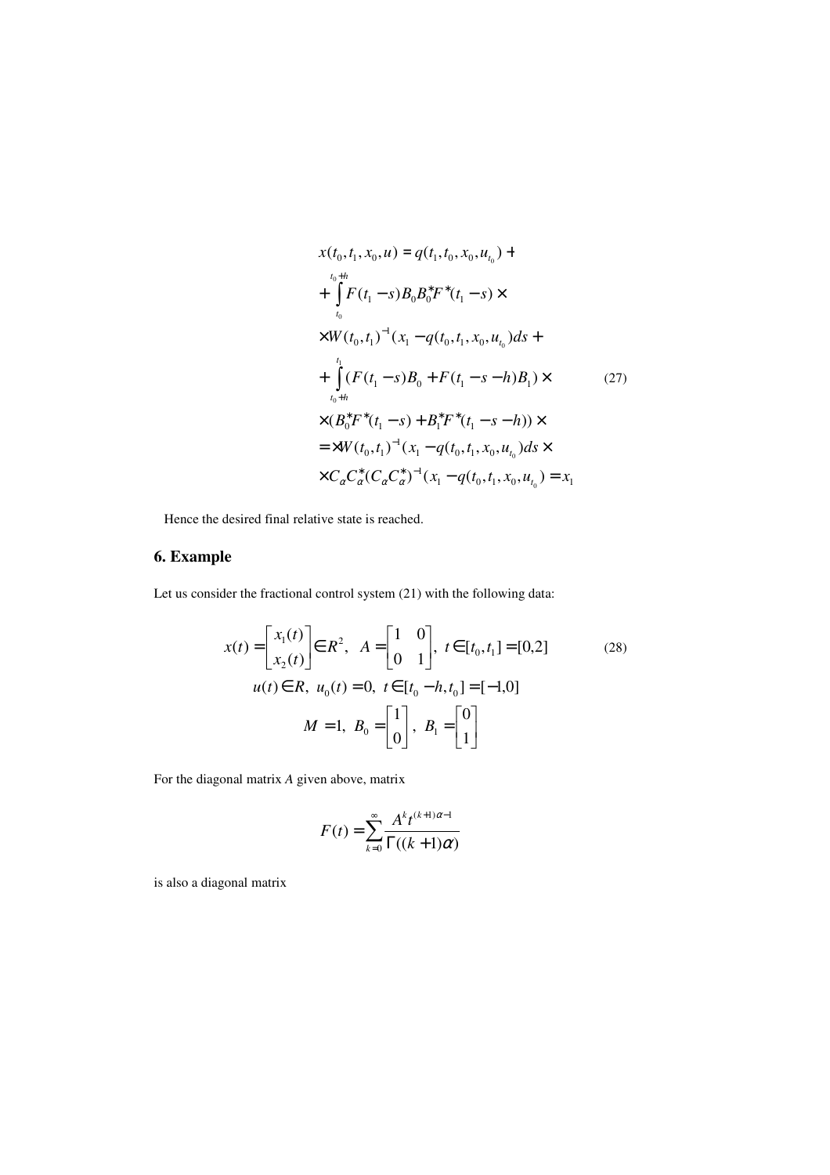$$
x(t_0, t_1, x_0, u) = q(t_1, t_0, x_0, u_{t_0}) +
$$
  
+ 
$$
\int_{t_0}^{t_0+h} F(t_1 - s) B_0 B_0^* F^*(t_1 - s) \times
$$
  

$$
\times W(t_0, t_1)^{-1} (x_1 - q(t_0, t_1, x_0, u_{t_0}) ds +
$$
  
+ 
$$
\int_{t_0+h}^{t_1} (F(t_1 - s) B_0 + F(t_1 - s - h) B_1) \times
$$
  

$$
\times (B_0^* F^*(t_1 - s) + B_1^* F^*(t_1 - s - h)) \times
$$
  
= 
$$
\times W(t_0, t_1)^{-1} (x_1 - q(t_0, t_1, x_0, u_{t_0}) ds \times
$$
  

$$
\times C_{\alpha} C_{\alpha}^* (C_{\alpha} C_{\alpha}^*)^{-1} (x_1 - q(t_0, t_1, x_0, u_{t_0}) = x_1
$$

Hence the desired final relative state is reached.

### **6. Example**

Let us consider the fractional control system (21) with the following data:

$$
x(t) = \begin{bmatrix} x_1(t) \\ x_2(t) \end{bmatrix} \in R^2, \quad A = \begin{bmatrix} 1 & 0 \\ 0 & 1 \end{bmatrix}, \quad t \in [t_0, t_1] = [0, 2] \tag{28}
$$
  

$$
u(t) \in R, \quad u_0(t) = 0, \quad t \in [t_0 - h, t_0] = [-1, 0]
$$
  

$$
M = 1, \quad B_0 = \begin{bmatrix} 1 \\ 0 \end{bmatrix}, \quad B_1 = \begin{bmatrix} 0 \\ 1 \end{bmatrix}
$$

For the diagonal matrix *A* given above, matrix

$$
F(t) = \sum_{k=0}^{\infty} \frac{A^k t^{(k+1)\alpha - 1}}{\Gamma((k+1)\alpha)}
$$

is also a diagonal matrix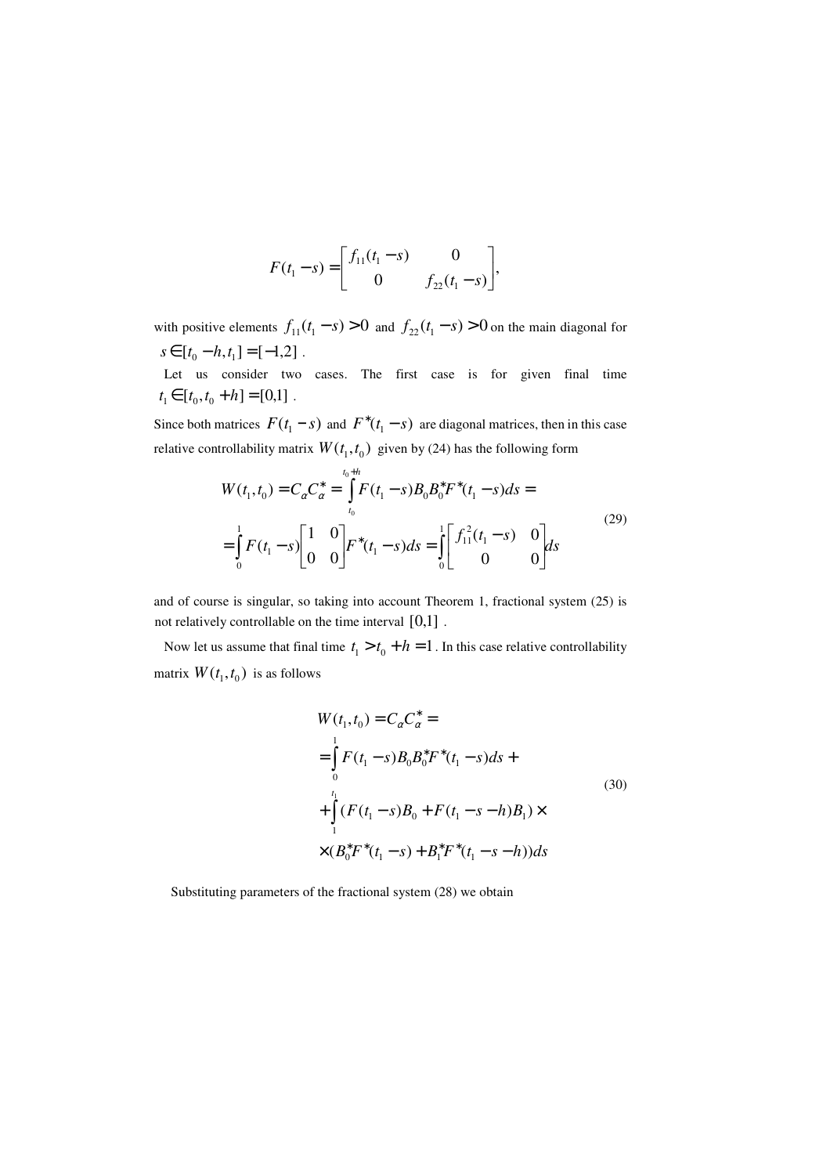$$
F(t_1 - s) = \begin{bmatrix} f_{11}(t_1 - s) & 0 \\ 0 & f_{22}(t_1 - s) \end{bmatrix},
$$

with positive elements  $f_{11}(t_1 - s) > 0$  and  $f_{22}(t_1 - s) > 0$  on the main diagonal for  $s \in [t_0 - h, t_1] = [-1, 2]$ .

 Let us consider two cases. The first case is for given final time  $t_1 \in [t_0, t_0 + h] = [0,1]$ .

Since both matrices  $F(t_1 - s)$  and  $F^*(t_1 - s)$  are diagonal matrices, then in this case relative controllability matrix  $W(t_1, t_0)$  given by (24) has the following form

$$
W(t_1, t_0) = C_{\alpha} C_{\alpha}^* = \int_{t_0}^{t_0 + h} F(t_1 - s) B_0 B_0^* F^*(t_1 - s) ds =
$$
  
= 
$$
\int_0^1 F(t_1 - s) \begin{bmatrix} 1 & 0 \\ 0 & 0 \end{bmatrix} F^*(t_1 - s) ds = \int_0^1 \begin{bmatrix} f_{11}^2(t_1 - s) & 0 \\ 0 & 0 \end{bmatrix} ds
$$
 (29)

and of course is singular, so taking into account Theorem 1, fractional system (25) is not relatively controllable on the time interval  $[0,1]$ .

Now let us assume that final time  $t_1 > t_0 + h = 1$ . In this case relative controllability matrix  $W(t_1, t_0)$  is as follows

$$
W(t_1, t_0) = C_{\alpha} C_{\alpha}^* =
$$
  
=  $\int_0^1 F(t_1 - s) B_0 B_0^* F^*(t_1 - s) ds +$   
+  $\int_1^{t_1} (F(t_1 - s) B_0 + F(t_1 - s - h) B_1) \times$   
 $\times (B_0^* F^*(t_1 - s) + B_1^* F^*(t_1 - s - h)) ds$  (30)

Substituting parameters of the fractional system (28) we obtain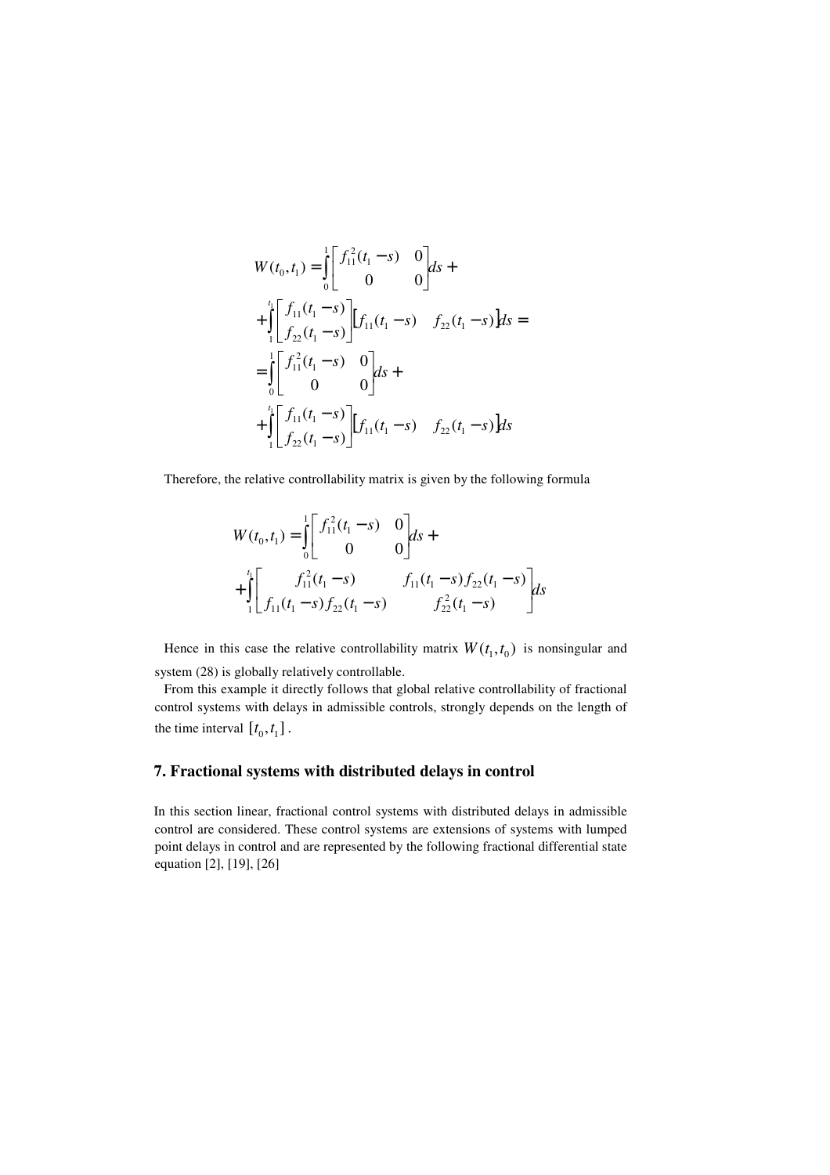$$
W(t_0, t_1) = \int_0^1 \begin{bmatrix} f_{11}^2(t_1 - s) & 0 \\ 0 & 0 \end{bmatrix} ds +
$$
  
+ 
$$
\int_1^t \begin{bmatrix} f_{11}(t_1 - s) \\ f_{22}(t_1 - s) \end{bmatrix} [f_{11}(t_1 - s) \quad f_{22}(t_1 - s)] ds =
$$
  
= 
$$
\int_0^1 \begin{bmatrix} f_{11}^2(t_1 - s) & 0 \\ 0 & 0 \end{bmatrix} ds +
$$
  
+ 
$$
\int_1^t \begin{bmatrix} f_{11}(t_1 - s) \\ f_{22}(t_1 - s) \end{bmatrix} [f_{11}(t_1 - s) \quad f_{22}(t_1 - s)] ds
$$

Therefore, the relative controllability matrix is given by the following formula

$$
W(t_0, t_1) = \int_0^1 \begin{bmatrix} f_{11}^2(t_1 - s) & 0 \\ 0 & 0 \end{bmatrix} ds +
$$
  
+ 
$$
\int_1^{t_1} \begin{bmatrix} f_{11}^2(t_1 - s) & f_{11}(t_1 - s) f_{22}(t_1 - s) \\ f_{11}(t_1 - s) f_{22}(t_1 - s) & f_{22}^2(t_1 - s) \end{bmatrix} ds
$$

Hence in this case the relative controllability matrix  $W(t_1, t_0)$  is nonsingular and system (28) is globally relatively controllable.

 From this example it directly follows that global relative controllability of fractional control systems with delays in admissible controls, strongly depends on the length of the time interval  $[t_0, t_1]$ .

# **7. Fractional systems with distributed delays in control**

In this section linear, fractional control systems with distributed delays in admissible control are considered. These control systems are extensions of systems with lumped point delays in control and are represented by the following fractional differential state equation [2], [19], [26]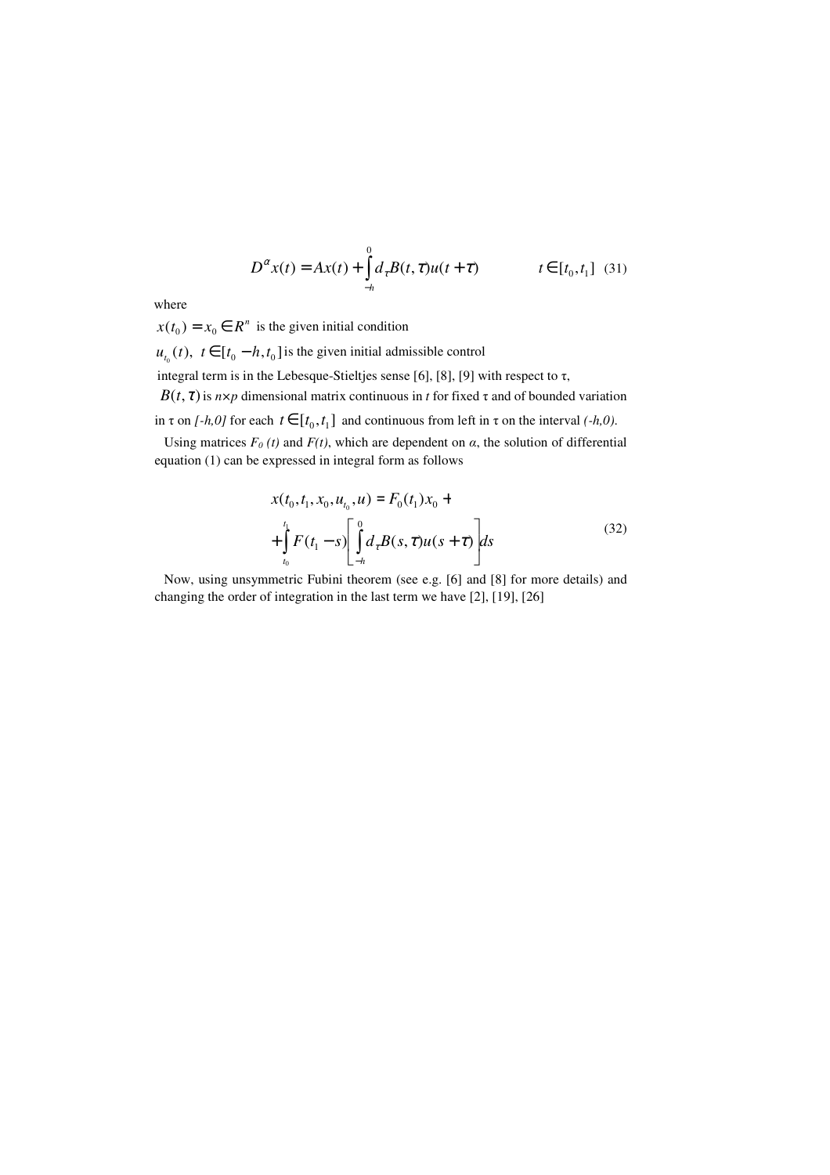$$
D^{\alpha}x(t) = Ax(t) + \int_{-h}^{0} d_{\tau}B(t, \tau)u(t + \tau) \qquad t \in [t_0, t_1] \tag{31}
$$

where

 $x(t_0) = x_0 \in R^n$  is the given initial condition

 $u_{t_0}(t)$ ,  $t \in [t_0 - h, t_0]$  is the given initial admissible control

integral term is in the Lebesque-Stieltjes sense [6], [8], [9] with respect to  $\tau$ ,

*B*( $t, \tau$ ) is *n×p* dimensional matrix continuous in *t* for fixed  $\tau$  and of bounded variation

in  $\tau$  on *[-h,0]* for each  $t \in [t_0, t_1]$  and continuous from left in  $\tau$  on the interval *(-h,0)*.

Using matrices  $F_0(t)$  and  $F(t)$ , which are dependent on  $\alpha$ , the solution of differential equation (1) can be expressed in integral form as follows

$$
x(t_0, t_1, x_0, u_{t_0}, u) = F_0(t_1) x_0 + \int_{t_0}^{t_1} F(t_1 - s) \left[ \int_{-h}^{0} d_{\tau} B(s, \tau) u(s + \tau) \right] ds
$$
\n(32)

 Now, using unsymmetric Fubini theorem (see e.g. [6] and [8] for more details) and changing the order of integration in the last term we have [2], [19], [26]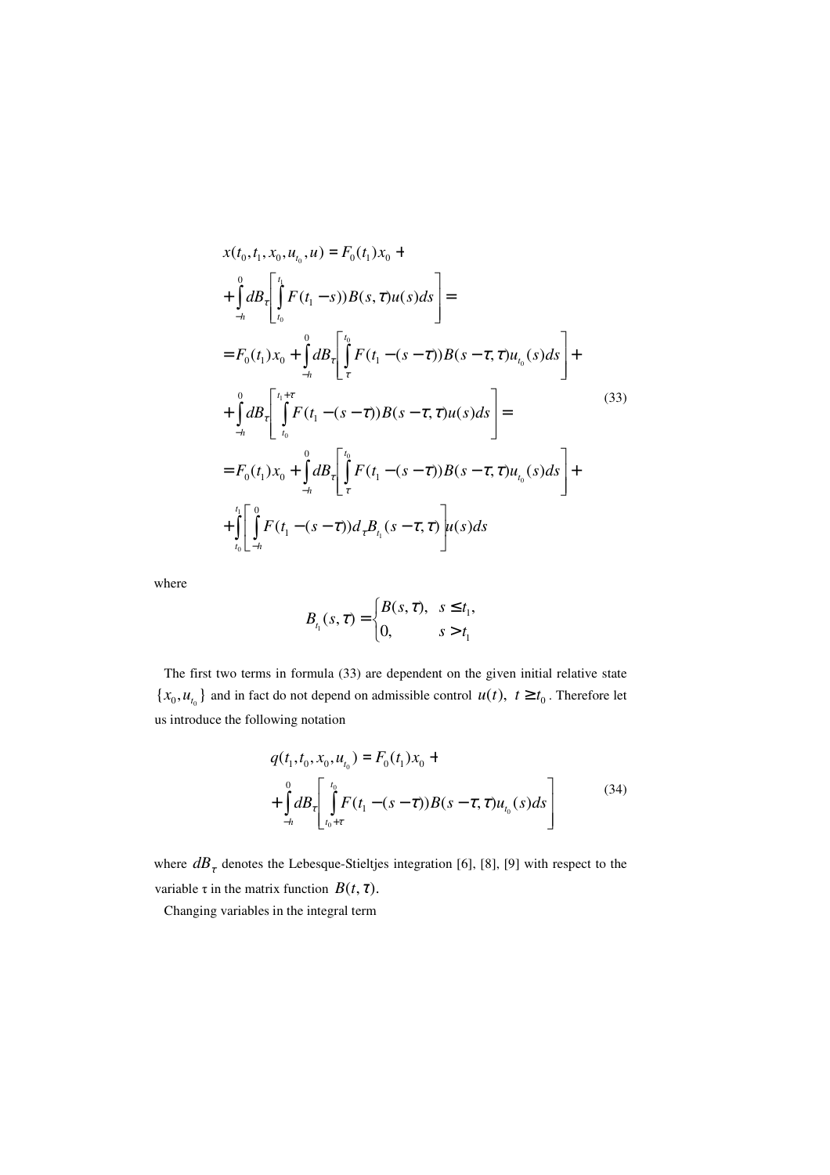$$
x(t_0, t_1, x_0, u_{t_0}, u) = F_0(t_1) x_0 +
$$
  
+ 
$$
\int_{-h}^{0} dB_{\tau} \left[ \int_{t_0}^{t_1} F(t_1 - s) B(s, \tau) u(s) ds \right] =
$$
  
= 
$$
F_0(t_1) x_0 + \int_{-h}^{0} dB_{\tau} \left[ \int_{\tau}^{t_0} F(t_1 - (s - \tau)) B(s - \tau, \tau) u_{t_0}(s) ds \right] +
$$
  
+ 
$$
\int_{-h}^{0} dB_{\tau} \left[ \int_{t_0}^{t_1 + \tau} F(t_1 - (s - \tau)) B(s - \tau, \tau) u(s) ds \right] =
$$
  
= 
$$
F_0(t_1) x_0 + \int_{-h}^{0} dB_{\tau} \left[ \int_{\tau}^{t_0} F(t_1 - (s - \tau)) B(s - \tau, \tau) u_{t_0}(s) ds \right] +
$$
  
+ 
$$
\int_{t_0}^{t_1} \left[ \int_{-h}^{0} F(t_1 - (s - \tau)) d_{\tau} B_{t_1}(s - \tau, \tau) \right] u(s) ds
$$
 (s)

where

$$
B_{t_1}(s,\tau) = \begin{cases} B(s,\tau), & s \le t_1, \\ 0, & s > t_1 \end{cases}
$$

 The first two terms in formula (33) are dependent on the given initial relative state  ${x_0, u_{t_0}}$  and in fact do not depend on admissible control  $u(t)$ ,  $t \ge t_0$ . Therefore let us introduce the following notation

$$
q(t_1, t_0, x_0, u_{t_0}) = F_0(t_1) x_0 +
$$
  
+ 
$$
\int_{-h}^{0} dB_{\tau} \left[ \int_{t_0 + \tau}^{t_0} F(t_1 - (s - \tau)) B(s - \tau, \tau) u_{t_0}(s) ds \right]
$$
 (34)

where  $dB_t$  denotes the Lebesque-Stieltjes integration [6], [8], [9] with respect to the variable  $\tau$  in the matrix function  $B(t, \tau)$ .

Changing variables in the integral term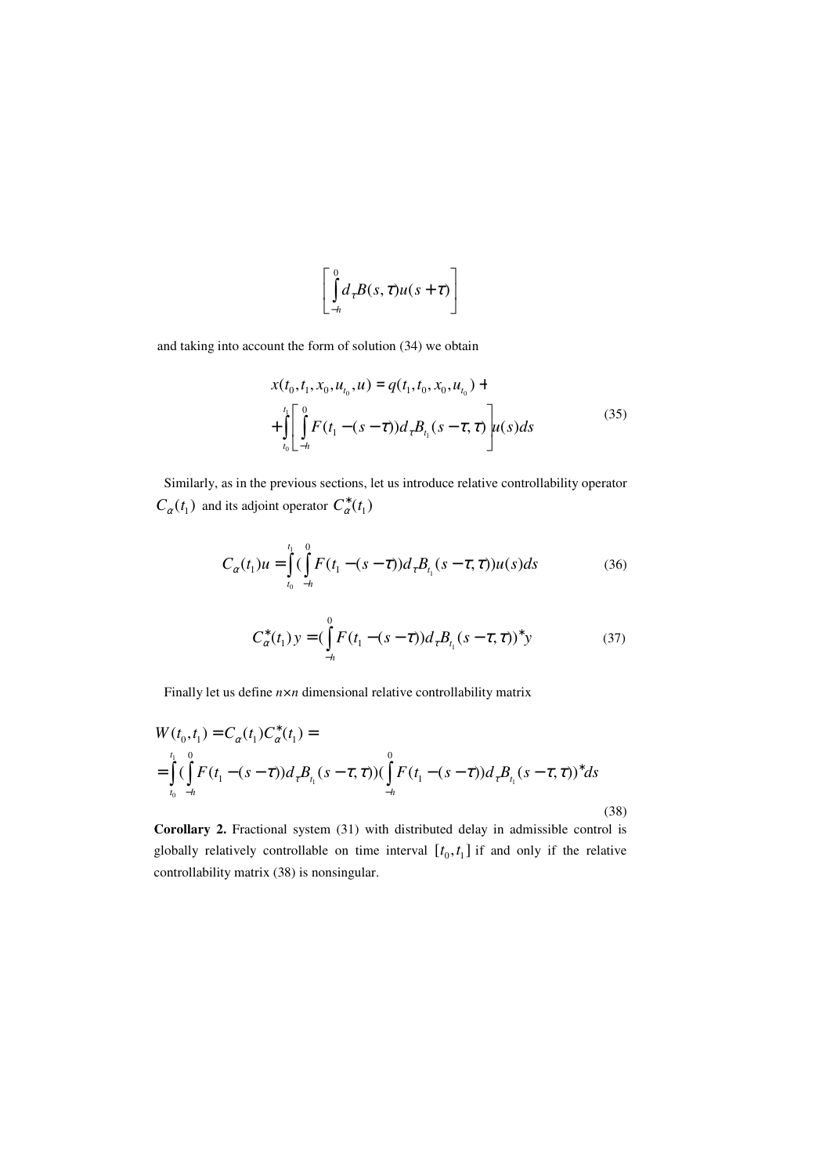$$
\left[\int_{-h}^{0} d_{\tau} B(s,\tau) u(s+\tau)\right]
$$

and taking into account the form of solution (34) we obtain

$$
x(t_0, t_1, x_0, u_{t_0}, u) = q(t_1, t_0, x_0, u_{t_0}) +
$$
  
+ 
$$
\int_{t_0}^{t_1} \left[ \int_{-h}^{0} F(t_1 - (s - \tau)) d_{\tau} B_{t_1}(s - \tau, \tau) \right] u(s) ds
$$
 (35)

 Similarly, as in the previous sections, let us introduce relative controllability operator  $C_{\alpha}(t_1)$  and its adjoint operator  $C_{\alpha}^*(t_1)$ 

$$
C_{\alpha}(t_1)u = \int_{t_0}^{t_1} (\int_{-h}^{0} F(t_1 - (s - \tau))d_{\tau}B_{t_1}(s - \tau, \tau))u(s)ds
$$
 (36)

$$
C_{\alpha}^{*}(t_{1}) y = \left(\int_{-h}^{0} F(t_{1} - (s - \tau)) d_{\tau} B_{t_{1}}(s - \tau, \tau)\right)^{*} y \tag{37}
$$

Finally let us define *n×n* dimensional relative controllability matrix

$$
W(t_0, t_1) = C_{\alpha}(t_1) C_{\alpha}^*(t_1) =
$$
  
= 
$$
\int_{t_0}^{t_1} (\int_{-h}^{0} F(t_1 - (s - \tau)) d_{\tau} B_{t_1}(s - \tau, \tau)) (\int_{-h}^{0} F(t_1 - (s - \tau)) d_{\tau} B_{t_1}(s - \tau, \tau))^* ds
$$
  

$$
= (38)
$$

**Corollary 2.** Fractional system (31) with distributed delay in admissible control is globally relatively controllable on time interval  $[t_0, t_1]$  if and only if the relative controllability matrix (38) is nonsingular.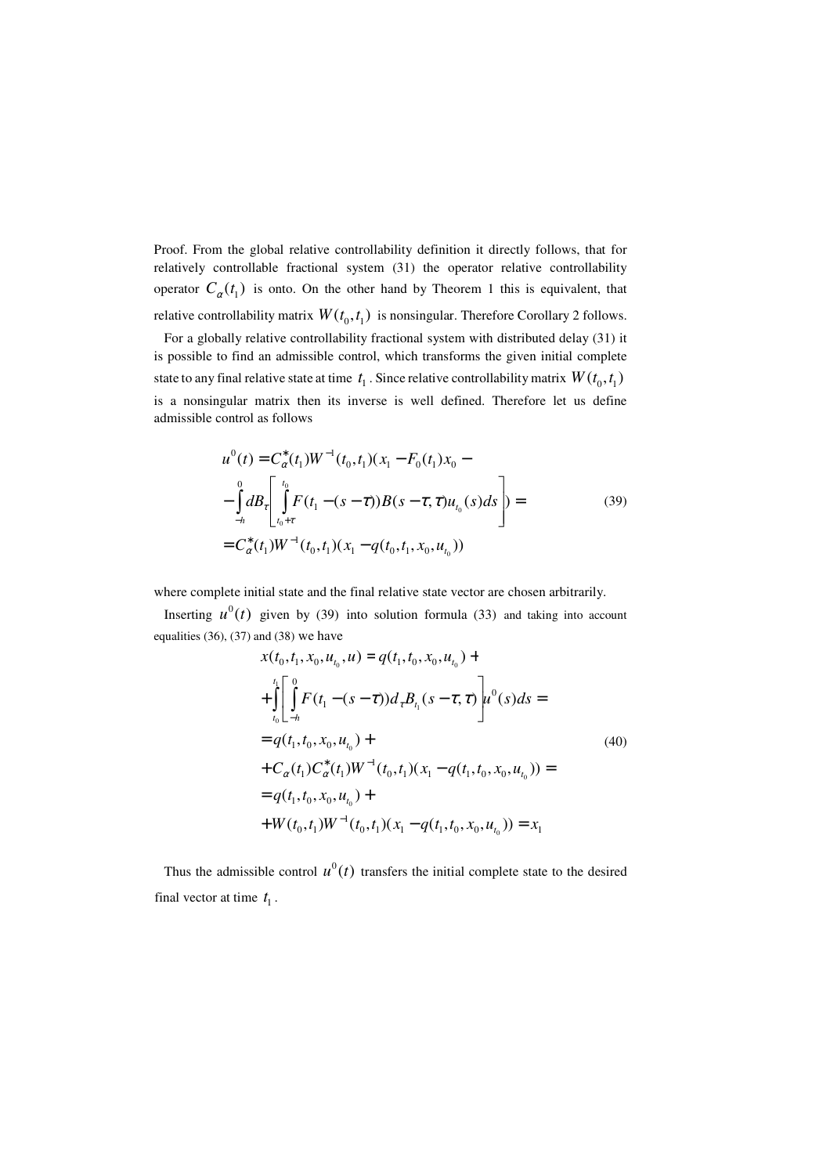Proof. From the global relative controllability definition it directly follows, that for relatively controllable fractional system (31) the operator relative controllability operator  $C_{\alpha}(t_1)$  is onto. On the other hand by Theorem 1 this is equivalent, that relative controllability matrix  $W(t_0, t_1)$  is nonsingular. Therefore Corollary 2 follows.

 For a globally relative controllability fractional system with distributed delay (31) it is possible to find an admissible control, which transforms the given initial complete state to any final relative state at time  $|t_{\rm l}$  . Since relative controllability matrix  $W(t_{\rm 0}, t_{\rm l})$ is a nonsingular matrix then its inverse is well defined. Therefore let us define admissible control as follows

$$
u^{0}(t) = C_{\alpha}^{*}(t_{1})W^{-1}(t_{0}, t_{1})(x_{1} - F_{0}(t_{1})x_{0} -
$$
  

$$
-\int_{-h}^{0} dB_{\tau}\left[\int_{t_{0}+T}^{t_{0}} F(t_{1} - (s-\tau))B(s-\tau, \tau)u_{t_{0}}(s)ds\right] =
$$
  

$$
= C_{\alpha}^{*}(t_{1})W^{-1}(t_{0}, t_{1})(x_{1} - q(t_{0}, t_{1}, x_{0}, u_{t_{0}}))
$$
 (39)

where complete initial state and the final relative state vector are chosen arbitrarily.

Inserting  $u^0(t)$  given by (39) into solution formula (33) and taking into account equalities  $(36)$ ,  $(37)$  and  $(38)$  we have

$$
x(t_0, t_1, x_0, u_{t_0}, u) = q(t_1, t_0, x_0, u_{t_0}) +
$$
  
+ 
$$
\int_{t_0}^{t_1} \left[ \int_{-h}^{0} F(t_1 - (s - \tau)) d_{\tau} B_{t_1}(s - \tau, \tau) \right] u^0(s) ds =
$$
  
= 
$$
q(t_1, t_0, x_0, u_{t_0}) +
$$
  
+ 
$$
C_{\alpha}(t_1) C_{\alpha}^*(t_1) W^{-1}(t_0, t_1) (x_1 - q(t_1, t_0, x_0, u_{t_0})) =
$$
  
= 
$$
q(t_1, t_0, x_0, u_{t_0}) +
$$
  
+ 
$$
W(t_0, t_1) W^{-1}(t_0, t_1) (x_1 - q(t_1, t_0, x_0, u_{t_0})) = x_1
$$
 (40)

Thus the admissible control  $u^0(t)$  transfers the initial complete state to the desired final vector at time  $t_1$ .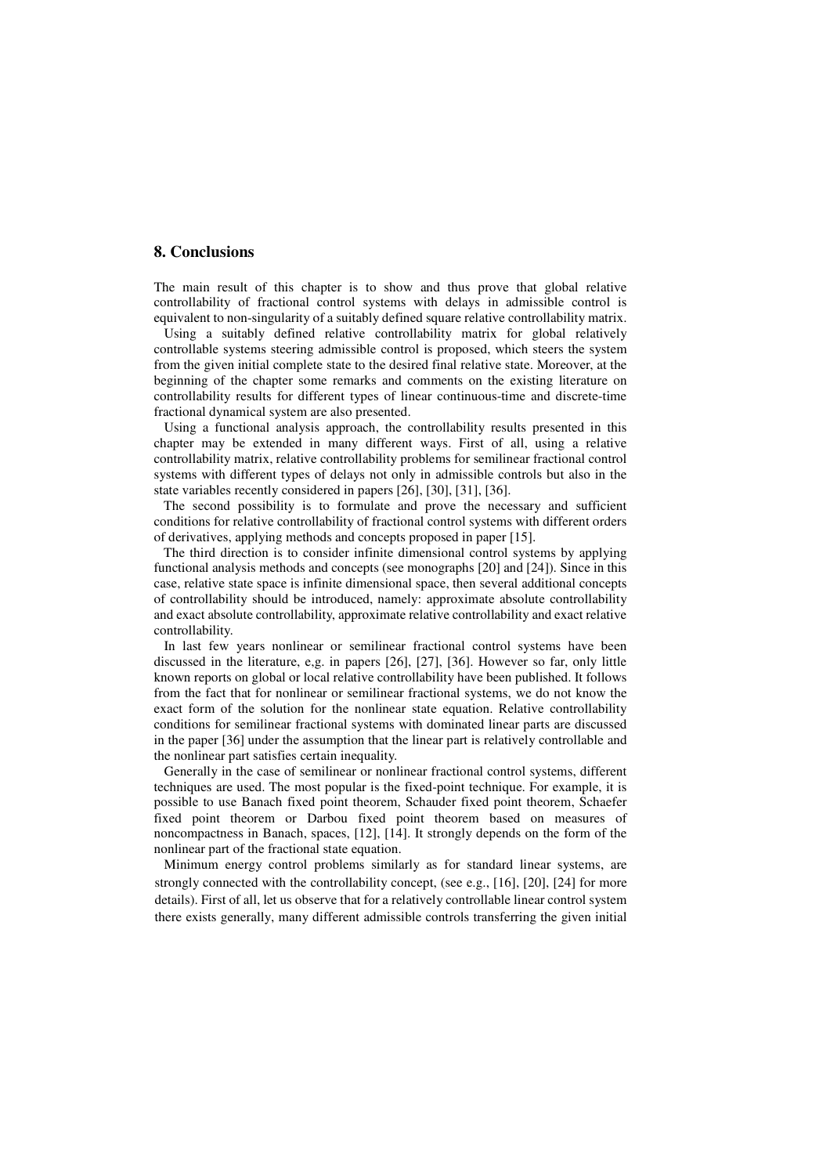#### **8. Conclusions**

The main result of this chapter is to show and thus prove that global relative controllability of fractional control systems with delays in admissible control is equivalent to non-singularity of a suitably defined square relative controllability matrix.

 Using a suitably defined relative controllability matrix for global relatively controllable systems steering admissible control is proposed, which steers the system from the given initial complete state to the desired final relative state. Moreover, at the beginning of the chapter some remarks and comments on the existing literature on controllability results for different types of linear continuous-time and discrete-time fractional dynamical system are also presented.

 Using a functional analysis approach, the controllability results presented in this chapter may be extended in many different ways. First of all, using a relative controllability matrix, relative controllability problems for semilinear fractional control systems with different types of delays not only in admissible controls but also in the state variables recently considered in papers [26], [30], [31], [36].

 The second possibility is to formulate and prove the necessary and sufficient conditions for relative controllability of fractional control systems with different orders of derivatives, applying methods and concepts proposed in paper [15].

 The third direction is to consider infinite dimensional control systems by applying functional analysis methods and concepts (see monographs [20] and [24]). Since in this case, relative state space is infinite dimensional space, then several additional concepts of controllability should be introduced, namely: approximate absolute controllability and exact absolute controllability, approximate relative controllability and exact relative controllability.

 In last few years nonlinear or semilinear fractional control systems have been discussed in the literature, e,g. in papers [26], [27], [36]. However so far, only little known reports on global or local relative controllability have been published. It follows from the fact that for nonlinear or semilinear fractional systems, we do not know the exact form of the solution for the nonlinear state equation. Relative controllability conditions for semilinear fractional systems with dominated linear parts are discussed in the paper [36] under the assumption that the linear part is relatively controllable and the nonlinear part satisfies certain inequality.

 Generally in the case of semilinear or nonlinear fractional control systems, different techniques are used. The most popular is the fixed-point technique. For example, it is possible to use Banach fixed point theorem, Schauder fixed point theorem, Schaefer fixed point theorem or Darbou fixed point theorem based on measures of noncompactness in Banach, spaces, [12], [14]. It strongly depends on the form of the nonlinear part of the fractional state equation.

 Minimum energy control problems similarly as for standard linear systems, are strongly connected with the controllability concept, (see e.g., [16], [20], [24] for more details). First of all, let us observe that for a relatively controllable linear control system there exists generally, many different admissible controls transferring the given initial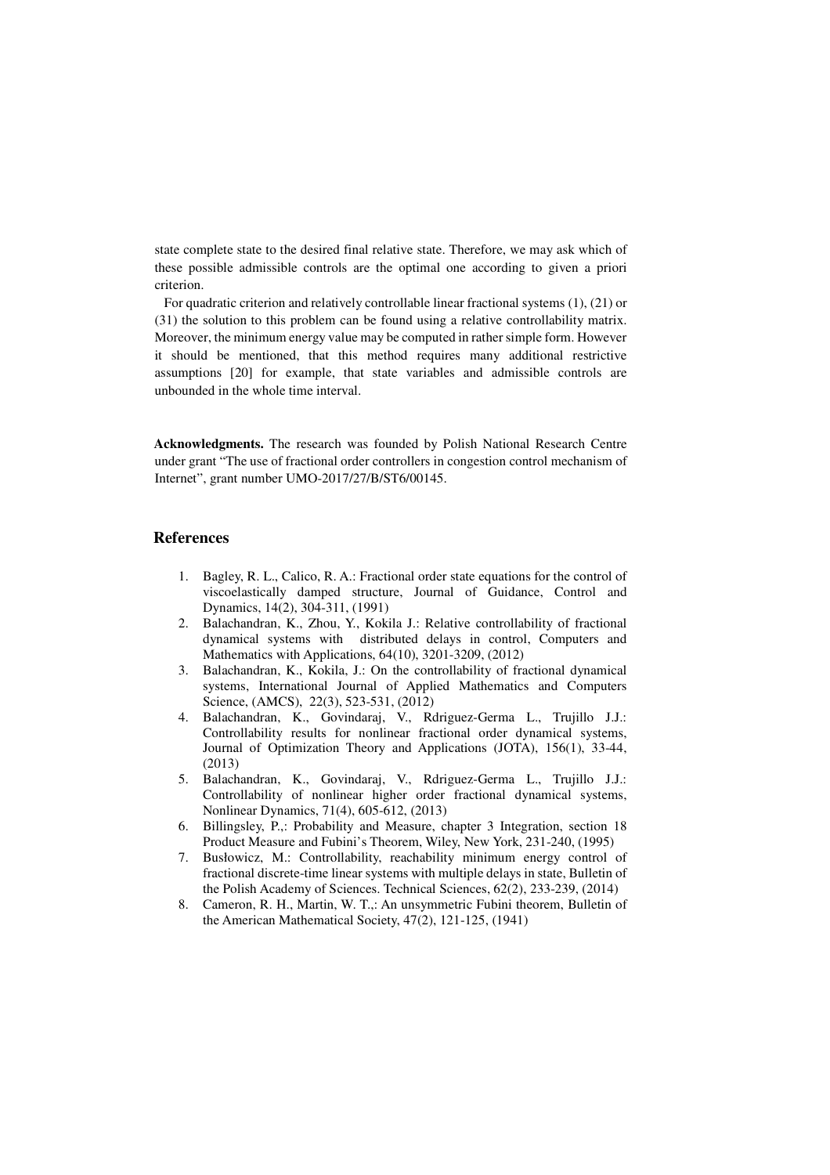state complete state to the desired final relative state. Therefore, we may ask which of these possible admissible controls are the optimal one according to given a priori criterion.

 For quadratic criterion and relatively controllable linear fractional systems (1), (21) or (31) the solution to this problem can be found using a relative controllability matrix. Moreover, the minimum energy value may be computed in rather simple form. However it should be mentioned, that this method requires many additional restrictive assumptions [20] for example, that state variables and admissible controls are unbounded in the whole time interval.

**Acknowledgments.** The research was founded by Polish National Research Centre under grant "The use of fractional order controllers in congestion control mechanism of Internet", grant number UMO-2017/27/B/ST6/00145.

#### **References**

- 1. Bagley, R. L., Calico, R. A.: Fractional order state equations for the control of viscoelastically damped structure, Journal of Guidance, Control and Dynamics, 14(2), 304-311, (1991)
- 2. Balachandran, K., Zhou, Y., Kokila J.: Relative controllability of fractional dynamical systems with distributed delays in control, Computers and Mathematics with Applications, 64(10), 3201-3209, (2012)
- 3. Balachandran, K., Kokila, J.: On the controllability of fractional dynamical systems, International Journal of Applied Mathematics and Computers Science, (AMCS), 22(3), 523-531, (2012)
- 4. Balachandran, K., Govindaraj, V., Rdriguez-Germa L., Trujillo J.J.: Controllability results for nonlinear fractional order dynamical systems, Journal of Optimization Theory and Applications (JOTA), 156(1), 33-44, (2013)
- 5. Balachandran, K., Govindaraj, V., Rdriguez-Germa L., Trujillo J.J.: Controllability of nonlinear higher order fractional dynamical systems, Nonlinear Dynamics, 71(4), 605-612, (2013)
- 6. Billingsley, P.,: Probability and Measure, chapter 3 Integration, section 18 Product Measure and Fubini's Theorem, Wiley, New York, 231-240, (1995)
- 7. Busłowicz, M.: Controllability, reachability minimum energy control of fractional discrete-time linear systems with multiple delays in state, Bulletin of the Polish Academy of Sciences. Technical Sciences, 62(2), 233-239, (2014)
- 8. Cameron, R. H., Martin, W. T.,: An unsymmetric Fubini theorem, Bulletin of the American Mathematical Society, 47(2), 121-125, (1941)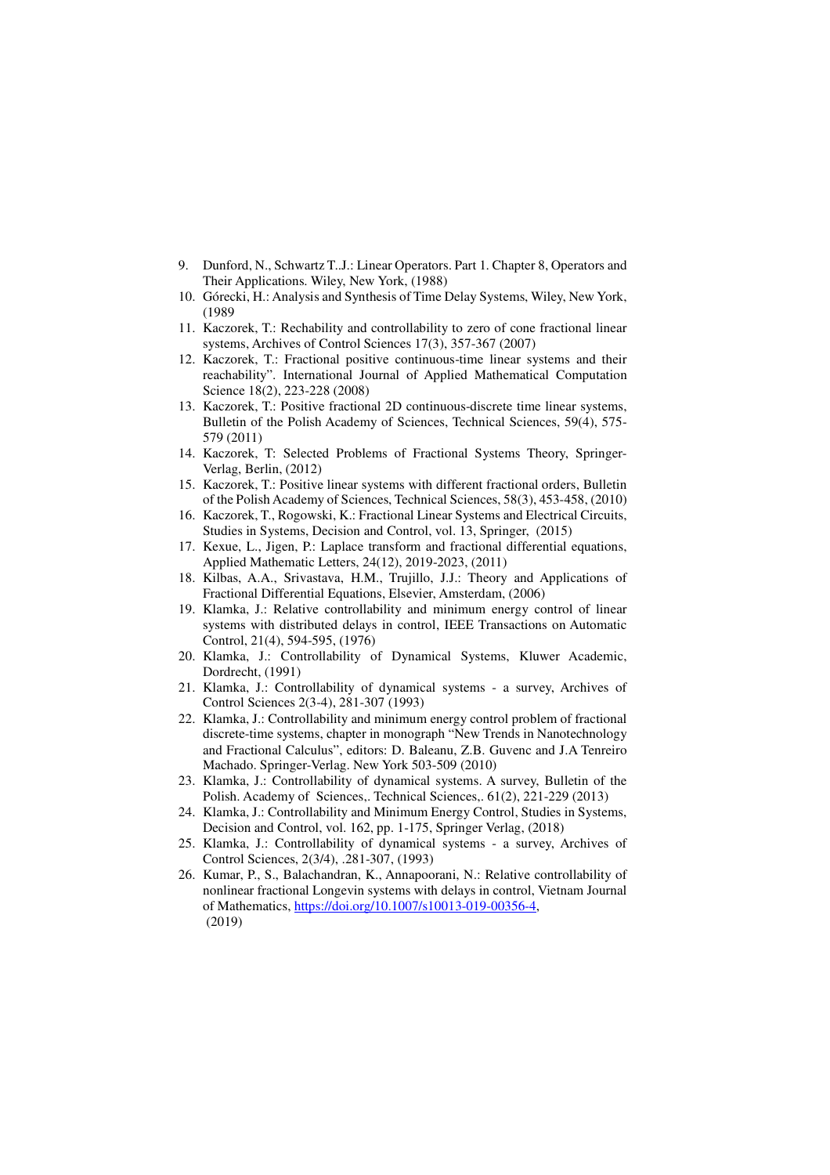- 9. Dunford, N., Schwartz T..J.: Linear Operators. Part 1. Chapter 8, Operators and Their Applications. Wiley, New York, (1988)
- 10. Górecki, H.: Analysis and Synthesis of Time Delay Systems, Wiley, New York, (1989
- 11. Kaczorek, T.: Rechability and controllability to zero of cone fractional linear systems, Archives of Control Sciences 17(3), 357-367 (2007)
- 12. Kaczorek, T.: Fractional positive continuous-time linear systems and their reachability". International Journal of Applied Mathematical Computation Science 18(2), 223-228 (2008)
- 13. Kaczorek, T.: Positive fractional 2D continuous-discrete time linear systems, Bulletin of the Polish Academy of Sciences, Technical Sciences, 59(4), 575- 579 (2011)
- 14. Kaczorek, T: Selected Problems of Fractional Systems Theory, Springer-Verlag, Berlin, (2012)
- 15. Kaczorek, T.: Positive linear systems with different fractional orders, Bulletin of the Polish Academy of Sciences, Technical Sciences, 58(3), 453-458, (2010)
- 16. Kaczorek, T., Rogowski, K.: Fractional Linear Systems and Electrical Circuits, Studies in Systems, Decision and Control, vol. 13, Springer, (2015)
- 17. Kexue, L., Jigen, P.: Laplace transform and fractional differential equations, Applied Mathematic Letters, 24(12), 2019-2023, (2011)
- 18. Kilbas, A.A., Srivastava, H.M., Trujillo, J.J.: Theory and Applications of Fractional Differential Equations, Elsevier, Amsterdam, (2006)
- 19. Klamka, J.: Relative controllability and minimum energy control of linear systems with distributed delays in control, IEEE Transactions on Automatic Control, 21(4), 594-595, (1976)
- 20. Klamka, J.: Controllability of Dynamical Systems, Kluwer Academic, Dordrecht, (1991)
- 21. Klamka, J.: Controllability of dynamical systems a survey, Archives of Control Sciences 2(3-4), 281-307 (1993)
- 22. Klamka, J.: Controllability and minimum energy control problem of fractional discrete-time systems, chapter in monograph "New Trends in Nanotechnology and Fractional Calculus", editors: D. Baleanu, Z.B. Guvenc and J.A Tenreiro Machado. Springer-Verlag. New York 503-509 (2010)
- 23. Klamka, J.: Controllability of dynamical systems. A survey, Bulletin of the Polish. Academy of Sciences,. Technical Sciences,. 61(2), 221-229 (2013)
- 24. Klamka, J.: Controllability and Minimum Energy Control, Studies in Systems, Decision and Control, vol. 162, pp. 1-175, Springer Verlag, (2018)
- 25. Klamka, J.: Controllability of dynamical systems a survey, Archives of Control Sciences, 2(3/4), .281-307, (1993)
- 26. Kumar, P., S., Balachandran, K., Annapoorani, N.: Relative controllability of nonlinear fractional Longevin systems with delays in control, Vietnam Journal of Mathematics, https://doi.org/10.1007/s10013-019-00356-4, (2019)